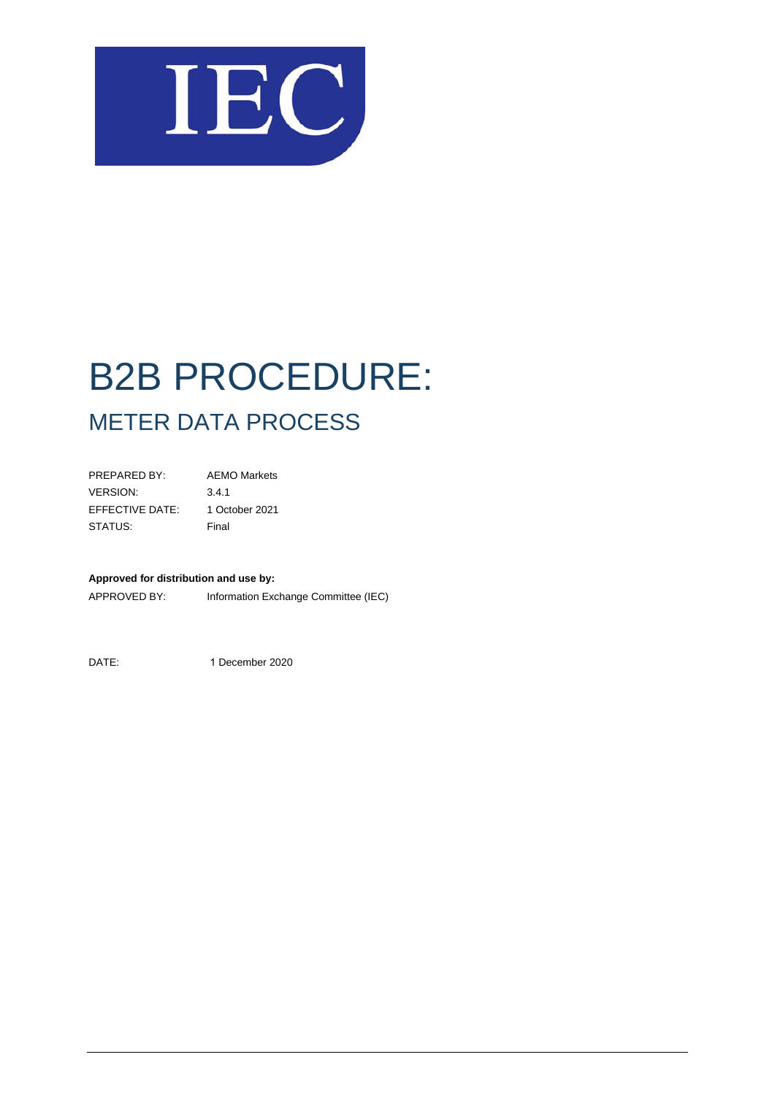

# B2B PROCEDURE: METER DATA PROCESS

| PRFPARFD BY:    | <b>AEMO Markets</b> |
|-----------------|---------------------|
| VERSION:        | 3.4.1               |
| EFFECTIVE DATE: | 1 October 2021      |
| STATUS:         | Final               |

#### **Approved for distribution and use by:**

APPROVED BY: Information Exchange Committee (IEC)

DATE: 1 December 2020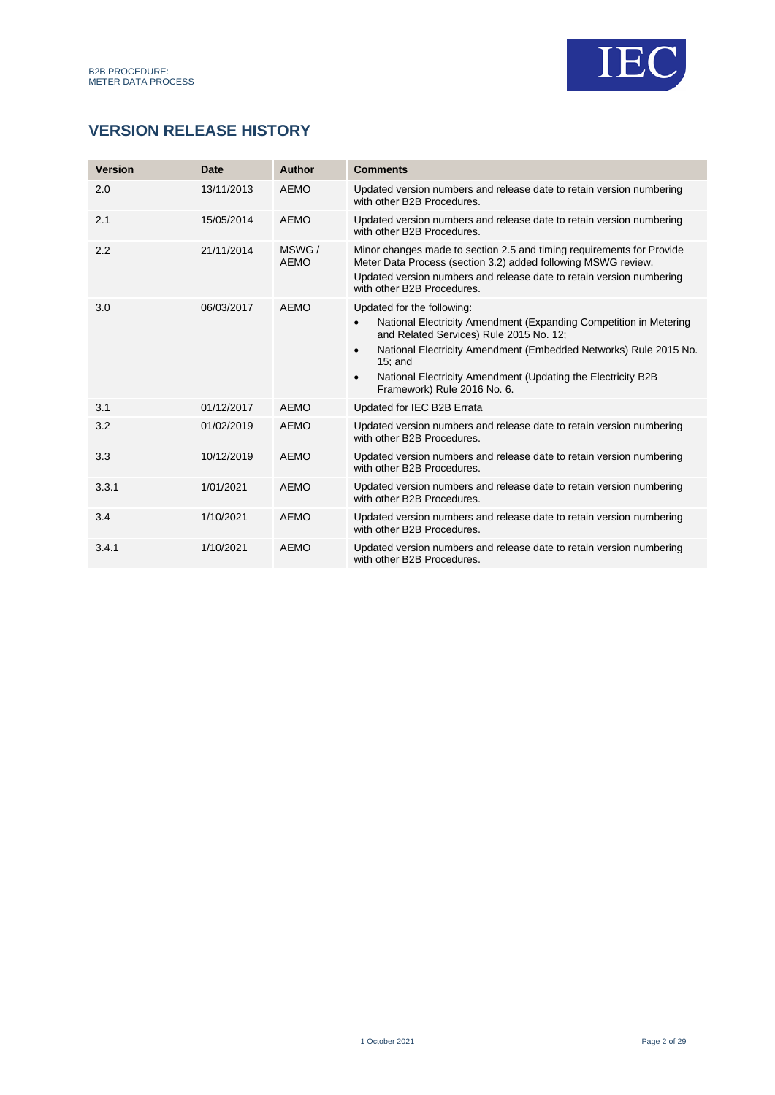

# **VERSION RELEASE HISTORY**

| <b>Version</b> | Date       | <b>Author</b>        | <b>Comments</b>                                                                                                                                                                                                                                                                                                                                                     |
|----------------|------------|----------------------|---------------------------------------------------------------------------------------------------------------------------------------------------------------------------------------------------------------------------------------------------------------------------------------------------------------------------------------------------------------------|
| 2.0            | 13/11/2013 | <b>AEMO</b>          | Updated version numbers and release date to retain version numbering<br>with other B2B Procedures.                                                                                                                                                                                                                                                                  |
| 2.1            | 15/05/2014 | <b>AEMO</b>          | Updated version numbers and release date to retain version numbering<br>with other B2B Procedures.                                                                                                                                                                                                                                                                  |
| 2.2            | 21/11/2014 | MSWG/<br><b>AEMO</b> | Minor changes made to section 2.5 and timing requirements for Provide<br>Meter Data Process (section 3.2) added following MSWG review.<br>Updated version numbers and release date to retain version numbering<br>with other B2B Procedures.                                                                                                                        |
| 3.0            | 06/03/2017 | <b>AEMO</b>          | Updated for the following:<br>National Electricity Amendment (Expanding Competition in Metering<br>$\bullet$<br>and Related Services) Rule 2015 No. 12;<br>National Electricity Amendment (Embedded Networks) Rule 2015 No.<br>$\bullet$<br>$15$ ; and<br>National Electricity Amendment (Updating the Electricity B2B)<br>$\bullet$<br>Framework) Rule 2016 No. 6. |
| 3.1            | 01/12/2017 | AEMO                 | Updated for IEC B2B Errata                                                                                                                                                                                                                                                                                                                                          |
| 3.2            | 01/02/2019 | <b>AEMO</b>          | Updated version numbers and release date to retain version numbering<br>with other B2B Procedures.                                                                                                                                                                                                                                                                  |
| 3.3            | 10/12/2019 | <b>AEMO</b>          | Updated version numbers and release date to retain version numbering<br>with other B2B Procedures.                                                                                                                                                                                                                                                                  |
| 3.3.1          | 1/01/2021  | <b>AEMO</b>          | Updated version numbers and release date to retain version numbering<br>with other B2B Procedures.                                                                                                                                                                                                                                                                  |
| 3.4            | 1/10/2021  | <b>AEMO</b>          | Updated version numbers and release date to retain version numbering<br>with other B2B Procedures.                                                                                                                                                                                                                                                                  |
| 3.4.1          | 1/10/2021  | <b>AEMO</b>          | Updated version numbers and release date to retain version numbering<br>with other B2B Procedures.                                                                                                                                                                                                                                                                  |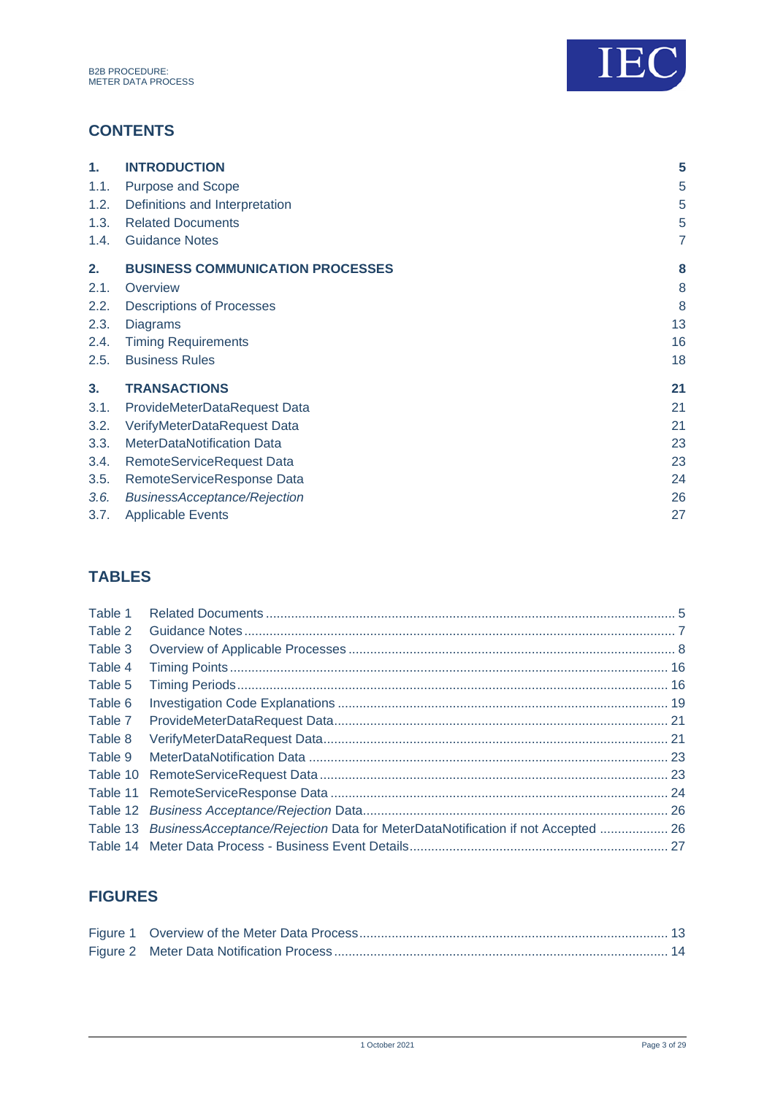

# **CONTENTS**

| 1.             | <b>INTRODUCTION</b>                     | 5  |
|----------------|-----------------------------------------|----|
| 1.1.           | <b>Purpose and Scope</b>                | 5  |
| 1.2.           | Definitions and Interpretation          | 5  |
| 1.3.           | <b>Related Documents</b>                | 5  |
| 1.4.           | <b>Guidance Notes</b>                   | 7  |
| 2.             | <b>BUSINESS COMMUNICATION PROCESSES</b> | 8  |
| 2.1.           | Overview                                | 8  |
| 2.2.           | <b>Descriptions of Processes</b>        | 8  |
| 2.3.           | <b>Diagrams</b>                         | 13 |
| 2.4.           | <b>Timing Requirements</b>              | 16 |
| 2.5.           | <b>Business Rules</b>                   | 18 |
| 3 <sub>1</sub> | <b>TRANSACTIONS</b>                     | 21 |
| 3.1.           | ProvideMeterDataRequest Data            | 21 |
| 3.2.           | VerifyMeterDataRequest Data             | 21 |
| 3.3.           | <b>MeterDataNotification Data</b>       | 23 |
| 3.4.           | RemoteServiceRequest Data               | 23 |
| 3.5.           | RemoteServiceResponse Data              | 24 |
| 3.6.           | <b>BusinessAcceptance/Rejection</b>     | 26 |
| 3.7.           | <b>Applicable Events</b>                | 27 |

# **TABLES**

| Table 13 BusinessAcceptance/Rejection Data for MeterDataNotification if not Accepted  26 |  |
|------------------------------------------------------------------------------------------|--|
|                                                                                          |  |
|                                                                                          |  |

# **FIGURES**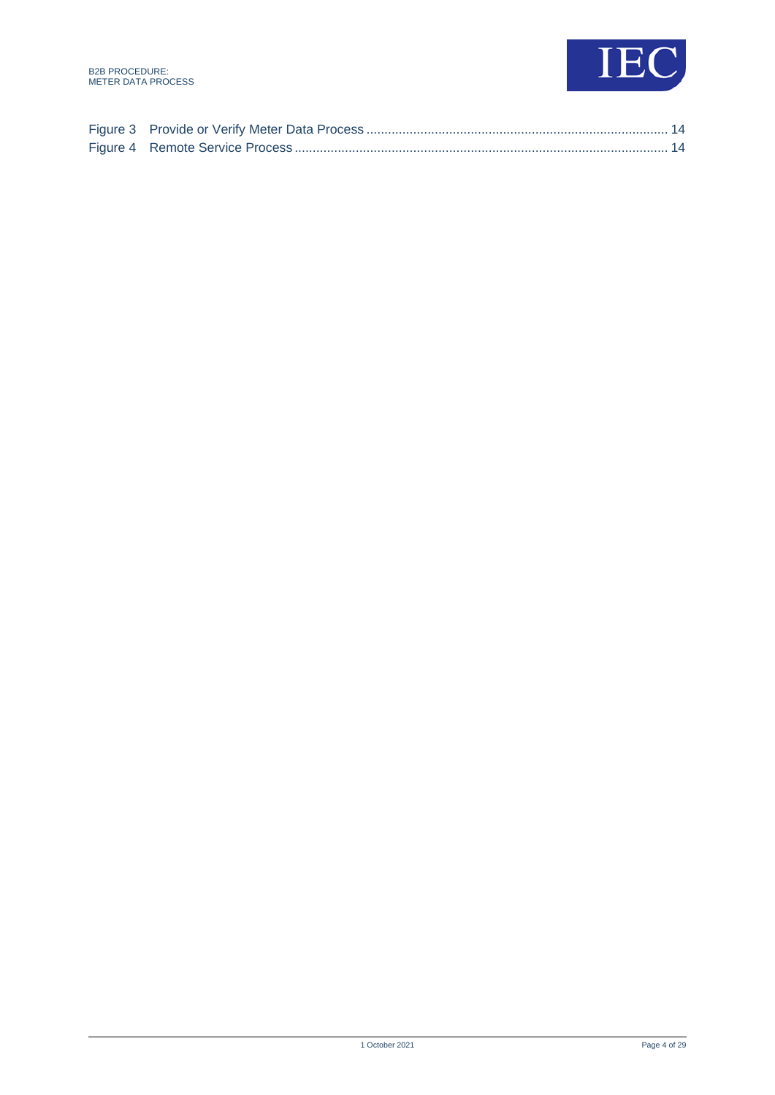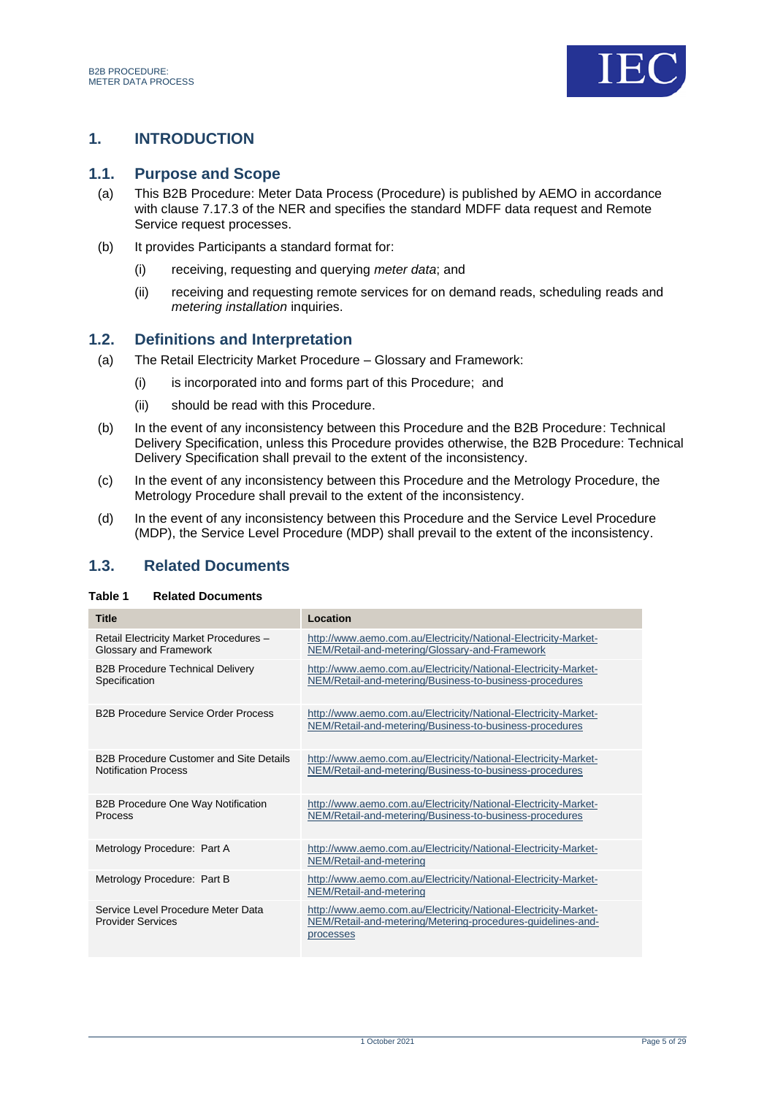

## <span id="page-4-0"></span>**1. INTRODUCTION**

### <span id="page-4-1"></span>**1.1. Purpose and Scope**

- (a) This B2B Procedure: Meter Data Process (Procedure) is published by AEMO in accordance with clause 7.17.3 of the NER and specifies the standard MDFF data request and Remote Service request processes.
- (b) It provides Participants a standard format for:
	- (i) receiving, requesting and querying *meter data*; and
	- (ii) receiving and requesting remote services for on demand reads, scheduling reads and *metering installation* inquiries.

#### <span id="page-4-2"></span>**1.2. Definitions and Interpretation**

- (a) The Retail Electricity Market Procedure Glossary and Framework:
	- (i) is incorporated into and forms part of this Procedure; and
	- (ii) should be read with this Procedure.
- (b) In the event of any inconsistency between this Procedure and the B2B Procedure: Technical Delivery Specification, unless this Procedure provides otherwise, the B2B Procedure: Technical Delivery Specification shall prevail to the extent of the inconsistency.
- (c) In the event of any inconsistency between this Procedure and the Metrology Procedure, the Metrology Procedure shall prevail to the extent of the inconsistency.
- (d) In the event of any inconsistency between this Procedure and the Service Level Procedure (MDP), the Service Level Procedure (MDP) shall prevail to the extent of the inconsistency.

## <span id="page-4-3"></span>**1.3. Related Documents**

#### <span id="page-4-4"></span>**Table 1 Related Documents**

| <b>Title</b>                                                                  | Location                                                                                                                                    |
|-------------------------------------------------------------------------------|---------------------------------------------------------------------------------------------------------------------------------------------|
| Retail Electricity Market Procedures -<br>Glossary and Framework              | http://www.aemo.com.au/Electricity/National-Electricity-Market-<br>NEM/Retail-and-metering/Glossary-and-Framework                           |
| <b>B2B Procedure Technical Delivery</b><br>Specification                      | http://www.aemo.com.au/Electricity/National-Electricity-Market-<br>NEM/Retail-and-metering/Business-to-business-procedures                  |
| <b>B2B Procedure Service Order Process</b>                                    | http://www.aemo.com.au/Electricity/National-Electricity-Market-<br>NEM/Retail-and-metering/Business-to-business-procedures                  |
| <b>B2B Procedure Customer and Site Details</b><br><b>Notification Process</b> | http://www.aemo.com.au/Electricity/National-Electricity-Market-<br>NEM/Retail-and-metering/Business-to-business-procedures                  |
| <b>B2B Procedure One Way Notification</b><br><b>Process</b>                   | http://www.aemo.com.au/Electricity/National-Electricity-Market-<br>NEM/Retail-and-metering/Business-to-business-procedures                  |
| Metrology Procedure: Part A                                                   | http://www.aemo.com.au/Electricity/National-Electricity-Market-<br>NEM/Retail-and-metering                                                  |
| Metrology Procedure: Part B                                                   | http://www.aemo.com.au/Electricity/National-Electricity-Market-<br>NEM/Retail-and-metering                                                  |
| Service Level Procedure Meter Data<br><b>Provider Services</b>                | http://www.aemo.com.au/Electricity/National-Electricity-Market-<br>NEM/Retail-and-metering/Metering-procedures-guidelines-and-<br>processes |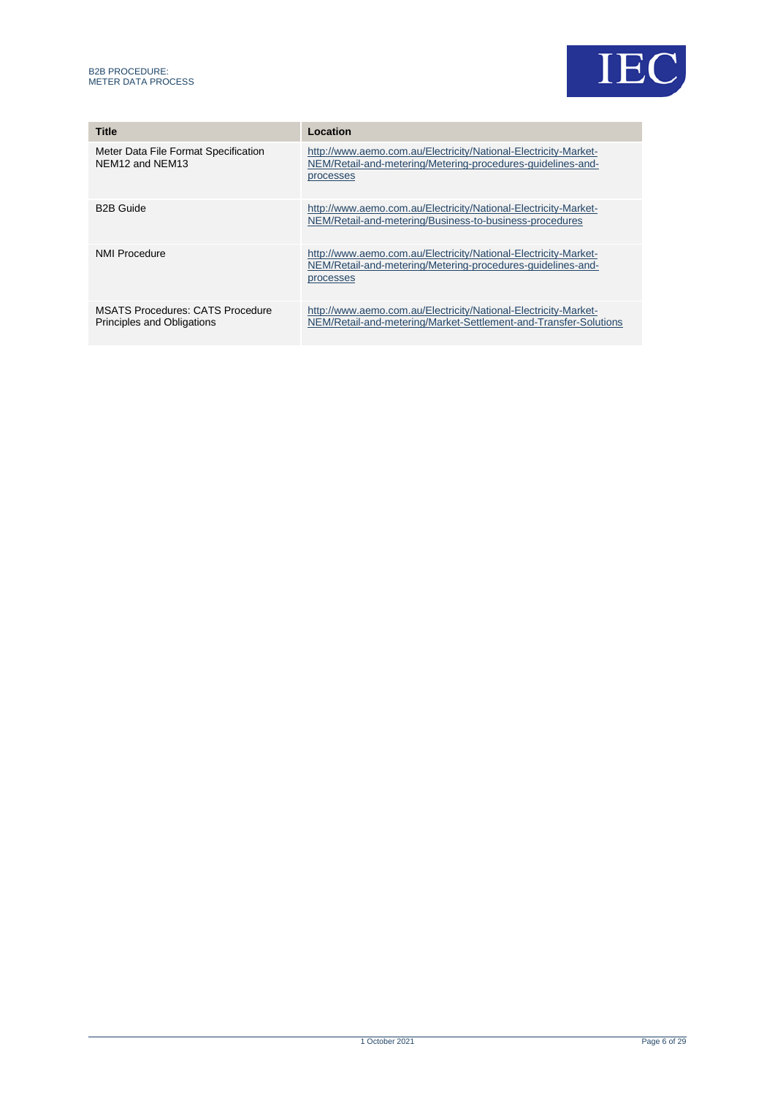



| <b>Title</b>                                                          | Location                                                                                                                                    |
|-----------------------------------------------------------------------|---------------------------------------------------------------------------------------------------------------------------------------------|
| Meter Data File Format Specification<br>NFM12 and NFM13               | http://www.aemo.com.au/Electricity/National-Electricity-Market-<br>NEM/Retail-and-metering/Metering-procedures-quidelines-and-<br>processes |
| <b>B2B Guide</b>                                                      | http://www.aemo.com.au/Electricity/National-Electricity-Market-<br>NEM/Retail-and-metering/Business-to-business-procedures                  |
| NMI Procedure                                                         | http://www.aemo.com.au/Electricity/National-Electricity-Market-<br>NEM/Retail-and-metering/Metering-procedures-quidelines-and-<br>processes |
| <b>MSATS Procedures: CATS Procedure</b><br>Principles and Obligations | http://www.aemo.com.au/Electricity/National-Electricity-Market-<br>NEM/Retail-and-metering/Market-Settlement-and-Transfer-Solutions         |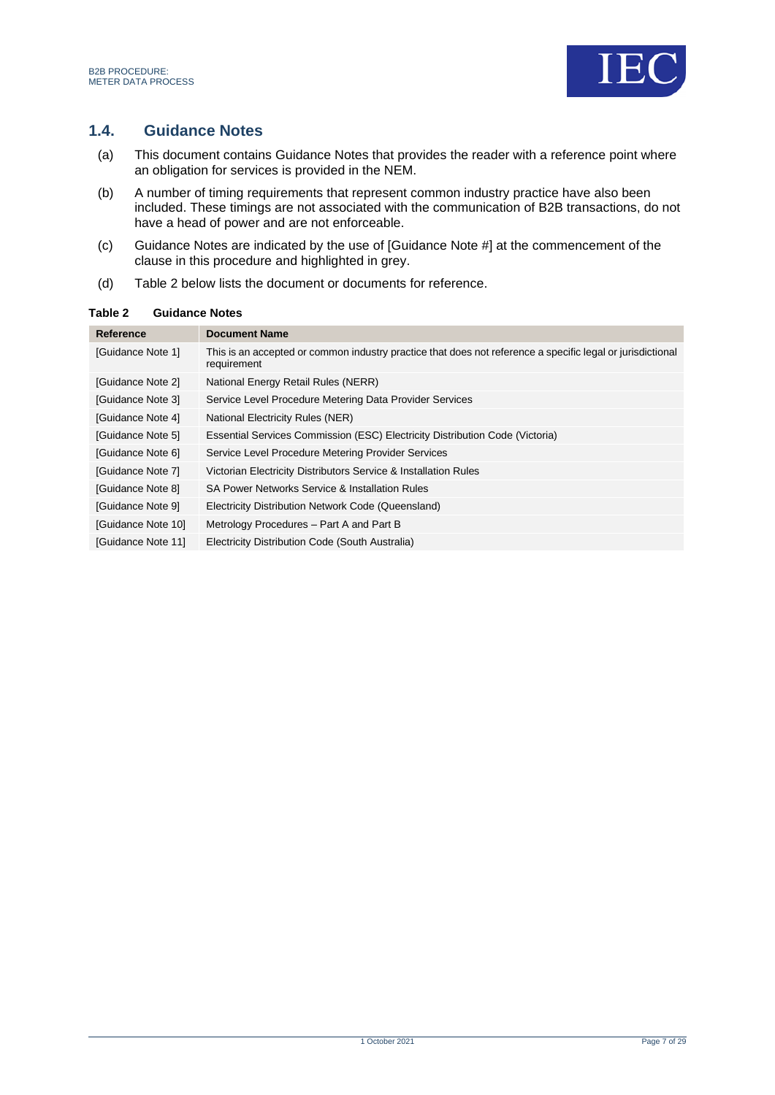

## <span id="page-6-0"></span>**1.4. Guidance Notes**

- (a) This document contains Guidance Notes that provides the reader with a reference point where an obligation for services is provided in the NEM.
- (b) A number of timing requirements that represent common industry practice have also been included. These timings are not associated with the communication of B2B transactions, do not have a head of power and are not enforceable.
- (c) Guidance Notes are indicated by the use of [Guidance Note #] at the commencement of the clause in this procedure and highlighted in grey.
- (d) Table 2 below lists the document or documents for reference.

#### <span id="page-6-1"></span>**Table 2 Guidance Notes**

| Reference          | <b>Document Name</b>                                                                                                      |
|--------------------|---------------------------------------------------------------------------------------------------------------------------|
| [Guidance Note 1]  | This is an accepted or common industry practice that does not reference a specific legal or jurisdictional<br>requirement |
| [Guidance Note 2]  | National Energy Retail Rules (NERR)                                                                                       |
| [Guidance Note 3]  | Service Level Procedure Metering Data Provider Services                                                                   |
| [Guidance Note 4]  | National Electricity Rules (NER)                                                                                          |
| [Guidance Note 5]  | Essential Services Commission (ESC) Electricity Distribution Code (Victoria)                                              |
| [Guidance Note 6]  | Service Level Procedure Metering Provider Services                                                                        |
| [Guidance Note 7]  | Victorian Electricity Distributors Service & Installation Rules                                                           |
| [Guidance Note 8]  | SA Power Networks Service & Installation Rules                                                                            |
| [Guidance Note 9]  | Electricity Distribution Network Code (Queensland)                                                                        |
| [Guidance Note 10] | Metrology Procedures - Part A and Part B                                                                                  |
| [Guidance Note 11] | Electricity Distribution Code (South Australia)                                                                           |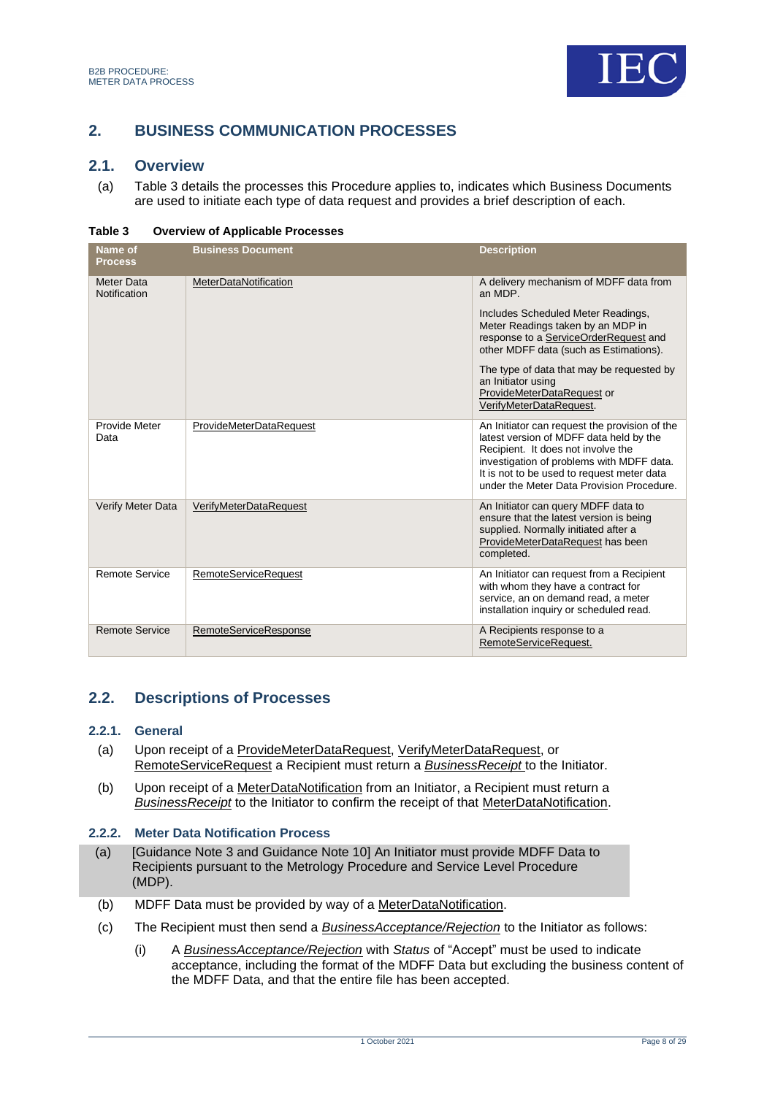

# <span id="page-7-0"></span>**2. BUSINESS COMMUNICATION PROCESSES**

## <span id="page-7-1"></span>**2.1. Overview**

(a) Table 3 details the processes this Procedure applies to, indicates which Business Documents are used to initiate each type of data request and provides a brief description of each.

| Name of<br><b>Process</b>  | <b>Business Document</b>     | <b>Description</b>                                                                                                                                                                                                                                                     |
|----------------------------|------------------------------|------------------------------------------------------------------------------------------------------------------------------------------------------------------------------------------------------------------------------------------------------------------------|
| Meter Data<br>Notification | <b>MeterDataNotification</b> | A delivery mechanism of MDFF data from<br>an MDP.                                                                                                                                                                                                                      |
|                            |                              | Includes Scheduled Meter Readings,<br>Meter Readings taken by an MDP in<br>response to a ServiceOrderRequest and<br>other MDFF data (such as Estimations).                                                                                                             |
|                            |                              | The type of data that may be requested by<br>an Initiator using<br>ProvideMeterDataRequest or<br>VerifyMeterDataRequest.                                                                                                                                               |
| Provide Meter<br>Data      | ProvideMeterDataRequest      | An Initiator can request the provision of the<br>latest version of MDFF data held by the<br>Recipient. It does not involve the<br>investigation of problems with MDFF data.<br>It is not to be used to request meter data<br>under the Meter Data Provision Procedure. |
| <b>Verify Meter Data</b>   | VerifyMeterDataRequest       | An Initiator can query MDFF data to<br>ensure that the latest version is being<br>supplied. Normally initiated after a<br>ProvideMeterDataRequest has been<br>completed.                                                                                               |
| <b>Remote Service</b>      | <b>RemoteServiceRequest</b>  | An Initiator can request from a Recipient<br>with whom they have a contract for<br>service, an on demand read, a meter<br>installation inquiry or scheduled read.                                                                                                      |
| <b>Remote Service</b>      | <b>RemoteServiceResponse</b> | A Recipients response to a<br>RemoteServiceRequest.                                                                                                                                                                                                                    |

#### <span id="page-7-3"></span>**Table 3 Overview of Applicable Processes**

## <span id="page-7-2"></span>**2.2. Descriptions of Processes**

#### **2.2.1. General**

- (a) Upon receipt of a ProvideMeterDataRequest, VerifyMeterDataRequest, or RemoteServiceRequest a Recipient must return a *BusinessReceipt* to the Initiator.
- (b) Upon receipt of a MeterDataNotification from an Initiator, a Recipient must return a *BusinessReceipt* to the Initiator to confirm the receipt of that MeterDataNotification.

#### **2.2.2. Meter Data Notification Process**

- (a) [Guidance Note 3 and Guidance Note 10] An Initiator must provide MDFF Data to Recipients pursuant to the Metrology Procedure and Service Level Procedure (MDP).
- (b) MDFF Data must be provided by way of a MeterDataNotification.
- (c) The Recipient must then send a *BusinessAcceptance/Rejection* to the Initiator as follows:
	- (i) A *BusinessAcceptance/Rejection* with *Status* of "Accept" must be used to indicate acceptance, including the format of the MDFF Data but excluding the business content of the MDFF Data, and that the entire file has been accepted.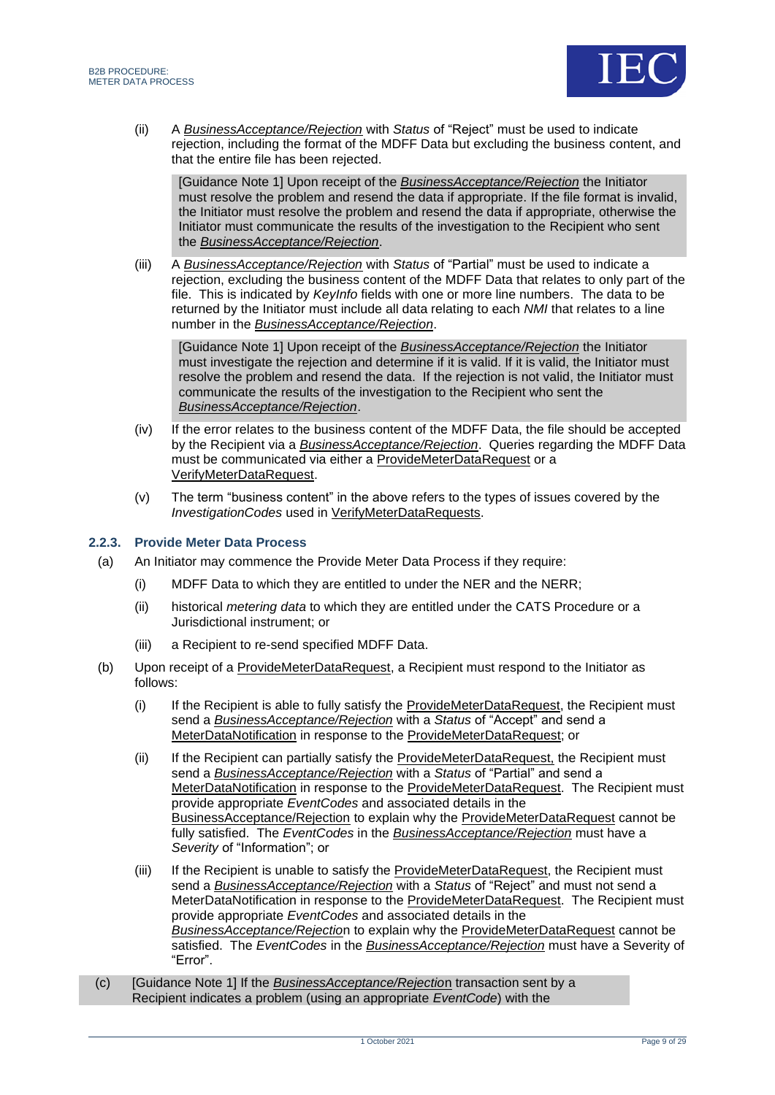

(ii) A *BusinessAcceptance/Rejection* with *Status* of "Reject" must be used to indicate rejection, including the format of the MDFF Data but excluding the business content, and that the entire file has been rejected.

[Guidance Note 1] Upon receipt of the *BusinessAcceptance/Rejection* the Initiator must resolve the problem and resend the data if appropriate. If the file format is invalid, the Initiator must resolve the problem and resend the data if appropriate, otherwise the Initiator must communicate the results of the investigation to the Recipient who sent the *BusinessAcceptance/Rejection*.

(iii) A *BusinessAcceptance/Rejection* with *Status* of "Partial" must be used to indicate a rejection, excluding the business content of the MDFF Data that relates to only part of the file. This is indicated by *KeyInfo* fields with one or more line numbers. The data to be returned by the Initiator must include all data relating to each *NMI* that relates to a line number in the *BusinessAcceptance/Rejection*.

[Guidance Note 1] Upon receipt of the *BusinessAcceptance/Rejection* the Initiator must investigate the rejection and determine if it is valid. If it is valid, the Initiator must resolve the problem and resend the data. If the rejection is not valid, the Initiator must communicate the results of the investigation to the Recipient who sent the *BusinessAcceptance/Rejection*.

- (iv) If the error relates to the business content of the MDFF Data, the file should be accepted by the Recipient via a *BusinessAcceptance/Rejection*. Queries regarding the MDFF Data must be communicated via either a ProvideMeterDataRequest or a VerifyMeterDataRequest.
- (v) The term "business content" in the above refers to the types of issues covered by the *InvestigationCodes* used in VerifyMeterDataRequests.

#### **2.2.3. Provide Meter Data Process**

- (a) An Initiator may commence the Provide Meter Data Process if they require:
	- (i) MDFF Data to which they are entitled to under the NER and the NERR;
	- (ii) historical *metering data* to which they are entitled under the CATS Procedure or a Jurisdictional instrument; or
	- (iii) a Recipient to re-send specified MDFF Data.
- (b) Upon receipt of a ProvideMeterDataRequest, a Recipient must respond to the Initiator as follows:
	- (i) If the Recipient is able to fully satisfy the ProvideMeterDataRequest, the Recipient must send a *BusinessAcceptance/Rejection* with a *Status* of "Accept" and send a MeterDataNotification in response to the ProvideMeterDataRequest; or
	- (ii) If the Recipient can partially satisfy the ProvideMeterDataRequest, the Recipient must send a *BusinessAcceptance/Rejection* with a *Status* of "Partial" and send a MeterDataNotification in response to the ProvideMeterDataRequest. The Recipient must provide appropriate *EventCodes* and associated details in the BusinessAcceptance/Rejection to explain why the ProvideMeterDataRequest cannot be fully satisfied. The *EventCodes* in the *BusinessAcceptance/Rejection* must have a *Severity* of "Information"; or
	- (iii) If the Recipient is unable to satisfy the ProvideMeterDataRequest, the Recipient must send a *BusinessAcceptance/Rejection* with a *Status* of "Reject" and must not send a MeterDataNotification in response to the ProvideMeterDataRequest. The Recipient must provide appropriate *EventCodes* and associated details in the *BusinessAcceptance/Rejectio*n to explain why the ProvideMeterDataRequest cannot be satisfied. The *EventCodes* in the *BusinessAcceptance/Rejection* must have a Severity of "Error".
- (c) [Guidance Note 1] If the *BusinessAcceptance/Rejectio*n transaction sent by a Recipient indicates a problem (using an appropriate *EventCode*) with the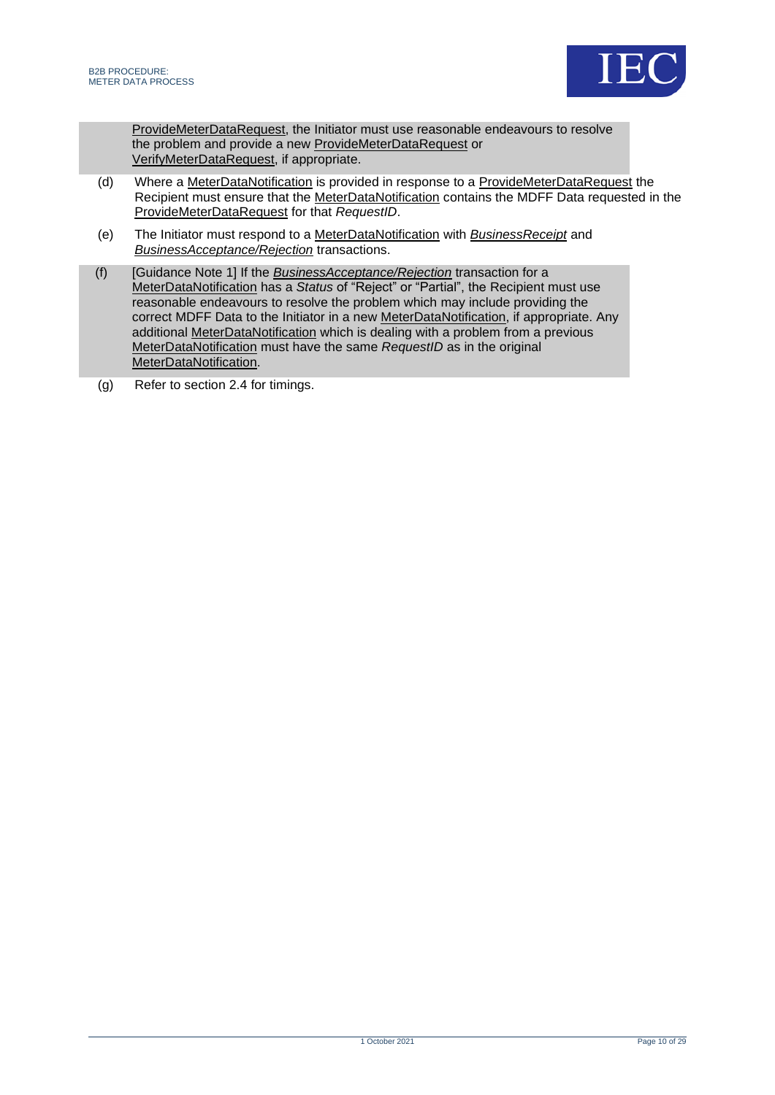

ProvideMeterDataRequest, the Initiator must use reasonable endeavours to resolve the problem and provide a new ProvideMeterDataRequest or VerifyMeterDataRequest, if appropriate.

- (d) Where a MeterDataNotification is provided in response to a ProvideMeterDataRequest the Recipient must ensure that the MeterDataNotification contains the MDFF Data requested in the ProvideMeterDataRequest for that *RequestID*.
- (e) The Initiator must respond to a MeterDataNotification with *BusinessReceipt* and *BusinessAcceptance/Rejection* transactions.
- (f) [Guidance Note 1] If the *BusinessAcceptance/Rejection* transaction for a MeterDataNotification has a *Status* of "Reject" or "Partial", the Recipient must use reasonable endeavours to resolve the problem which may include providing the correct MDFF Data to the Initiator in a new MeterDataNotification, if appropriate. Any additional MeterDataNotification which is dealing with a problem from a previous MeterDataNotification must have the same *RequestID* as in the original MeterDataNotification.
- (g) Refer to section 2.4 for timings.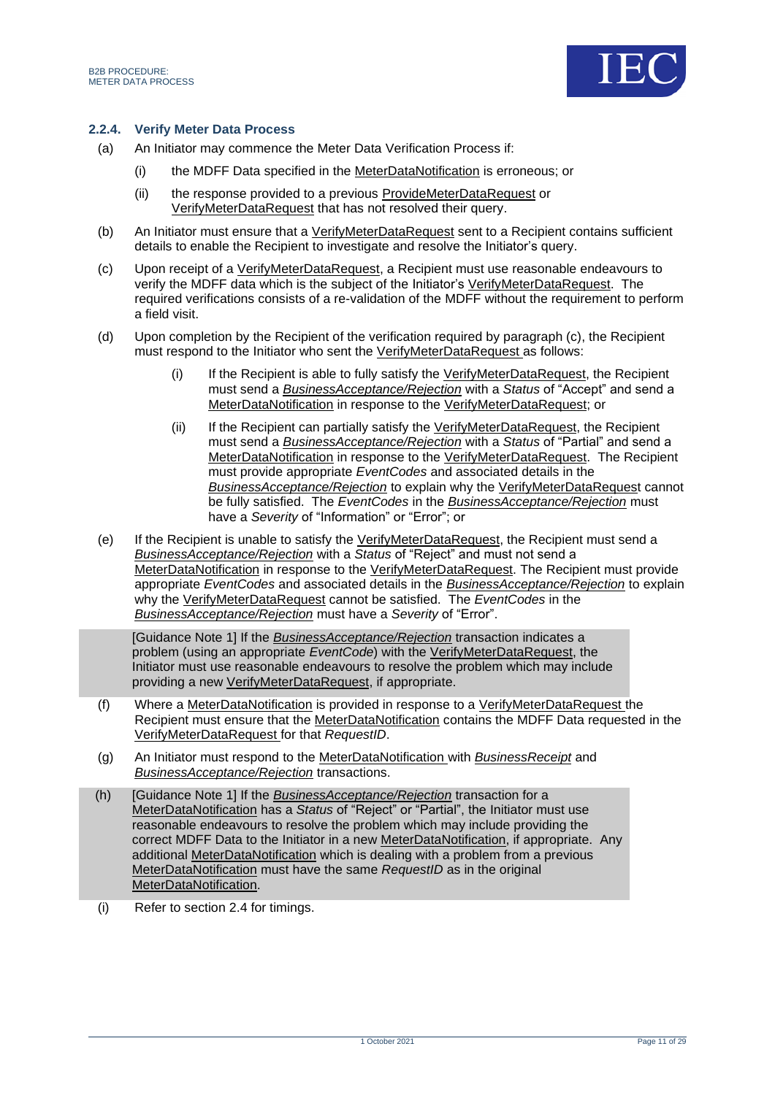

#### **2.2.4. Verify Meter Data Process**

- (a) An Initiator may commence the Meter Data Verification Process if:
	- (i) the MDFF Data specified in the MeterDataNotification is erroneous; or
	- (ii) the response provided to a previous ProvideMeterDataRequest or VerifyMeterDataRequest that has not resolved their query.
- (b) An Initiator must ensure that a VerifyMeterDataRequest sent to a Recipient contains sufficient details to enable the Recipient to investigate and resolve the Initiator's query.
- (c) Upon receipt of a VerifyMeterDataRequest, a Recipient must use reasonable endeavours to verify the MDFF data which is the subject of the Initiator's VerifyMeterDataRequest. The required verifications consists of a re-validation of the MDFF without the requirement to perform a field visit.
- (d) Upon completion by the Recipient of the verification required by paragraph (c), the Recipient must respond to the Initiator who sent the VerifyMeterDataRequest as follows:
	- (i) If the Recipient is able to fully satisfy the VerifyMeterDataRequest, the Recipient must send a *BusinessAcceptance/Rejection* with a *Status* of "Accept" and send a MeterDataNotification in response to the VerifyMeterDataRequest; or
	- (ii) If the Recipient can partially satisfy the VerifyMeterDataRequest, the Recipient must send a *BusinessAcceptance/Rejection* with a *Status* of "Partial" and send a MeterDataNotification in response to the VerifyMeterDataRequest. The Recipient must provide appropriate *EventCodes* and associated details in the *BusinessAcceptance/Rejection* to explain why the VerifyMeterDataRequest cannot be fully satisfied. The *EventCodes* in the *BusinessAcceptance/Rejection* must have a *Severity* of "Information" or "Error"; or
- (e) If the Recipient is unable to satisfy the VerifyMeterDataRequest, the Recipient must send a *BusinessAcceptance/Rejection* with a *Status* of "Reject" and must not send a MeterDataNotification in response to the VerifyMeterDataRequest. The Recipient must provide appropriate *EventCodes* and associated details in the *BusinessAcceptance/Rejection* to explain why the VerifyMeterDataRequest cannot be satisfied. The *EventCodes* in the *BusinessAcceptance/Rejection* must have a *Severity* of "Error".

[Guidance Note 1] If the *BusinessAcceptance/Rejection* transaction indicates a problem (using an appropriate *EventCode*) with the VerifyMeterDataRequest, the Initiator must use reasonable endeavours to resolve the problem which may include providing a new VerifyMeterDataRequest, if appropriate.

- (f) Where a MeterDataNotification is provided in response to a VerifyMeterDataRequest the Recipient must ensure that the MeterDataNotification contains the MDFF Data requested in the VerifyMeterDataRequest for that *RequestID*.
- (g) An Initiator must respond to the MeterDataNotification with *BusinessReceipt* and *BusinessAcceptance/Rejection* transactions.
- (h) [Guidance Note 1] If the *BusinessAcceptance/Rejection* transaction for a MeterDataNotification has a *Status* of "Reject" or "Partial", the Initiator must use reasonable endeavours to resolve the problem which may include providing the correct MDFF Data to the Initiator in a new MeterDataNotification, if appropriate. Any additional MeterDataNotification which is dealing with a problem from a previous MeterDataNotification must have the same *RequestID* as in the original MeterDataNotification.
- (i) Refer to section [2.4](#page-15-0) for timings.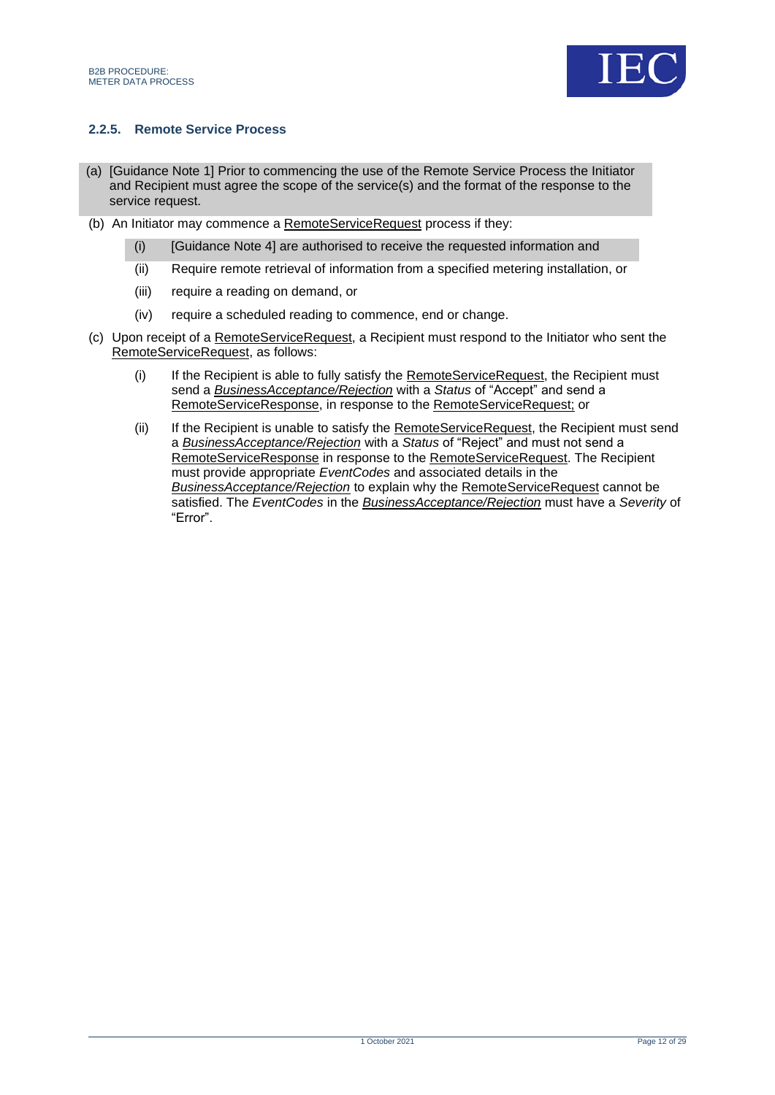

#### **2.2.5. Remote Service Process**

- (a) [Guidance Note 1] Prior to commencing the use of the Remote Service Process the Initiator and Recipient must agree the scope of the service(s) and the format of the response to the service request.
- (b) An Initiator may commence a RemoteServiceRequest process if they:
	- (i) [Guidance Note 4] are authorised to receive the requested information and
	- (ii) Require remote retrieval of information from a specified metering installation, or
	- (iii) require a reading on demand, or
	- (iv) require a scheduled reading to commence, end or change.
- (c) Upon receipt of a RemoteServiceRequest, a Recipient must respond to the Initiator who sent the RemoteServiceRequest, as follows:
	- (i) If the Recipient is able to fully satisfy the RemoteServiceRequest, the Recipient must send a *BusinessAcceptance/Rejection* with a *Status* of "Accept" and send a RemoteServiceResponse, in response to the RemoteServiceRequest; or
	- (ii) If the Recipient is unable to satisfy the RemoteServiceRequest, the Recipient must send a *BusinessAcceptance/Rejection* with a *Status* of "Reject" and must not send a RemoteServiceResponse in response to the RemoteServiceRequest. The Recipient must provide appropriate *EventCodes* and associated details in the *BusinessAcceptance/Rejection* to explain why the RemoteServiceRequest cannot be satisfied. The *EventCodes* in the *BusinessAcceptance/Rejection* must have a *Severity* of "Error".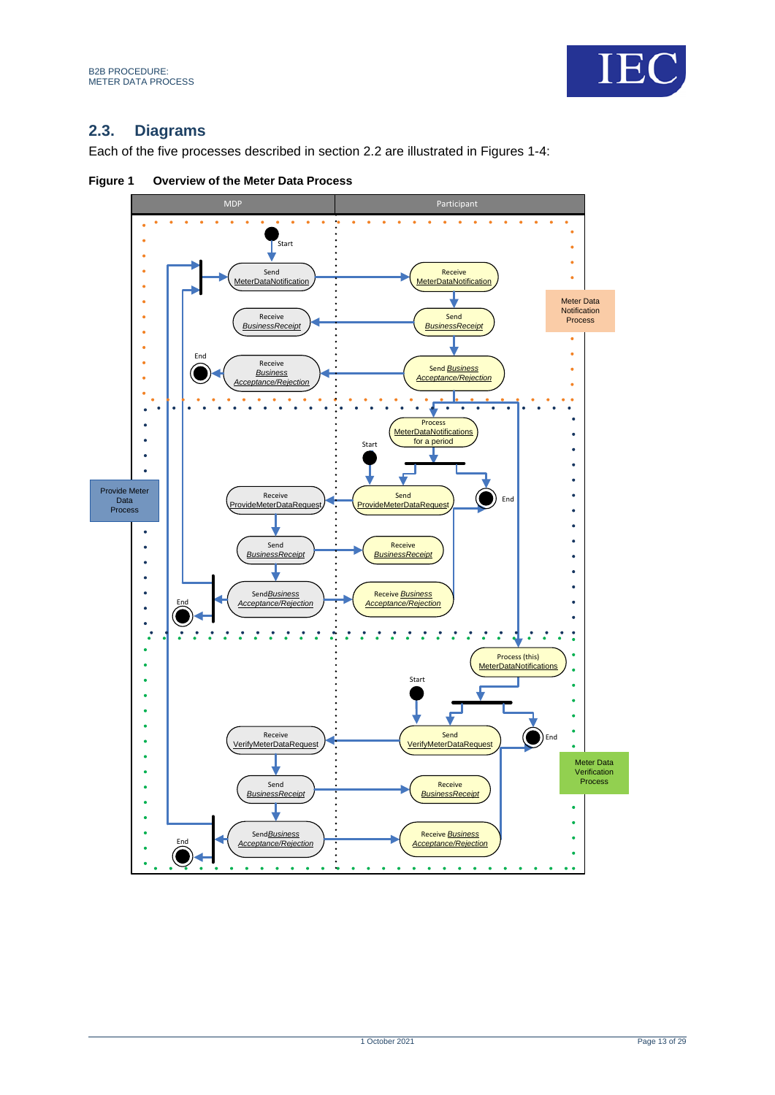



# <span id="page-12-0"></span>**2.3. Diagrams**

Each of the five processes described in section [2.2](#page-7-2) are illustrated in Figures 1-4:

<span id="page-12-1"></span>**Figure 1 Overview of the Meter Data Process**

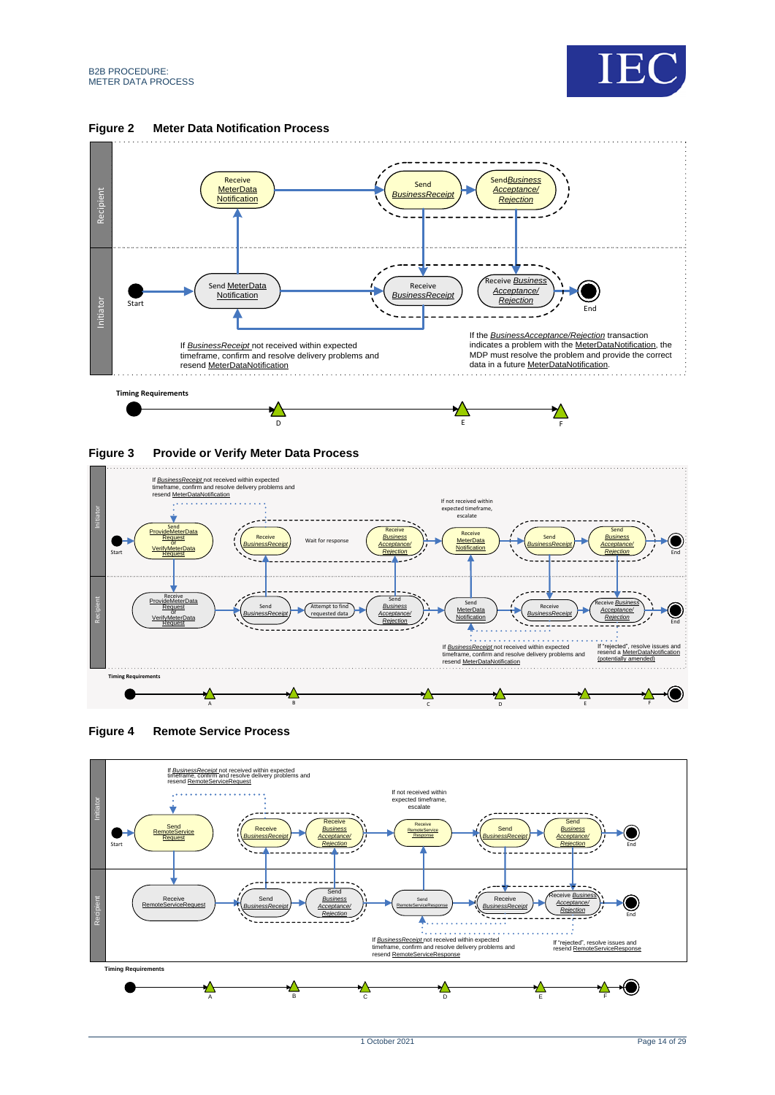

<span id="page-13-0"></span>



<span id="page-13-1"></span>



<span id="page-13-2"></span>**Figure 4 Remote Service Process**

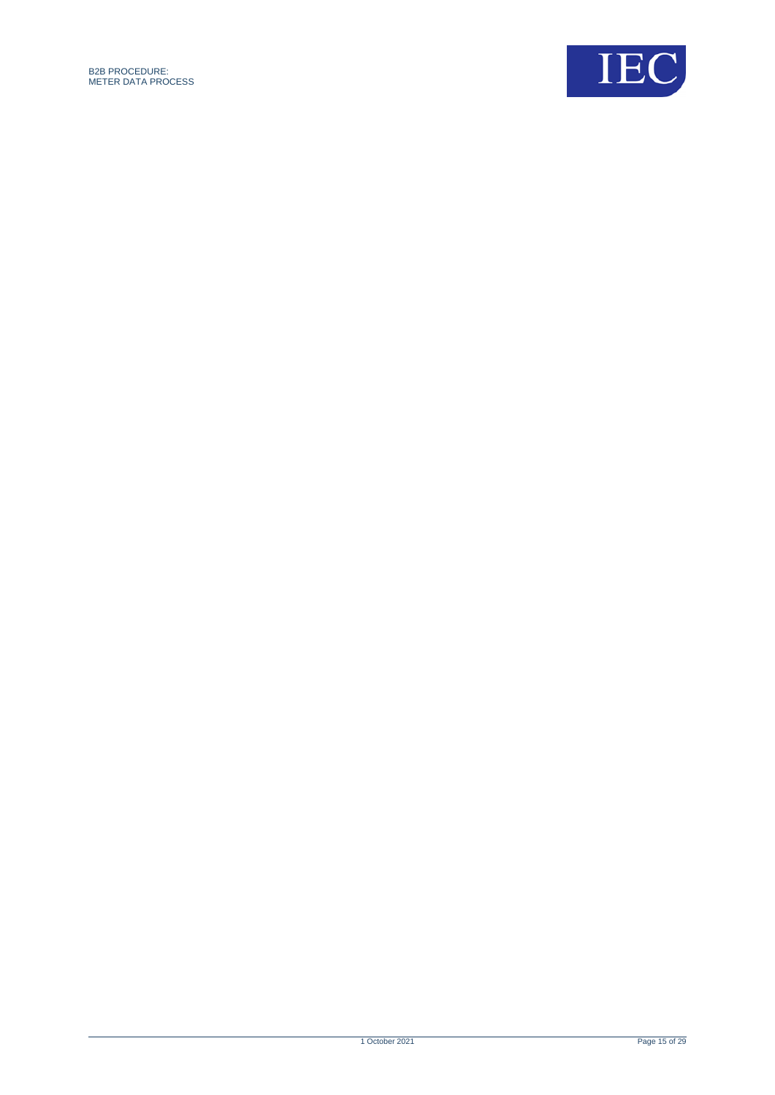B2B PROCEDURE: METER DATA PROCESS

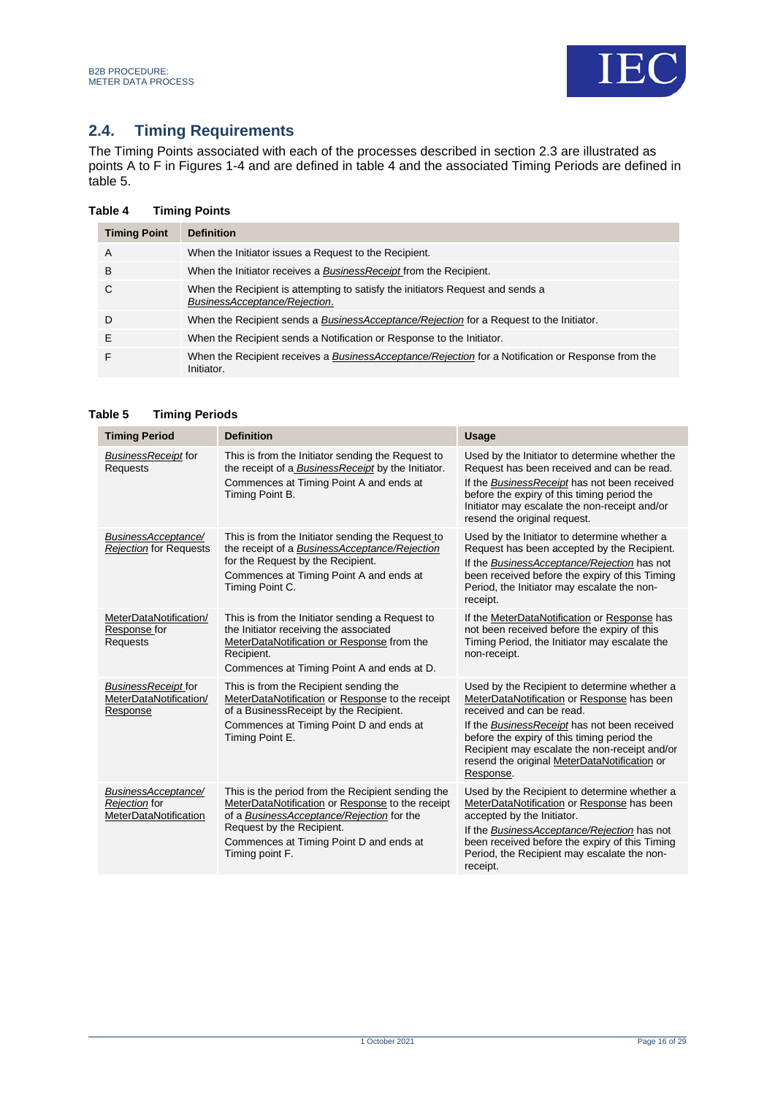

# <span id="page-15-0"></span>**2.4. Timing Requirements**

The Timing Points associated with each of the processes described in section [2.3](#page-12-0) are illustrated as points A to F in Figures 1-4 and are defined in table 4 and the associated Timing Periods are defined in table 5.

<span id="page-15-1"></span>

| Table 4<br><b>Timing Points</b>                                            |                     |                                                                                                                  |  |  |
|----------------------------------------------------------------------------|---------------------|------------------------------------------------------------------------------------------------------------------|--|--|
|                                                                            | <b>Timing Point</b> | <b>Definition</b>                                                                                                |  |  |
|                                                                            | A                   | When the Initiator issues a Request to the Recipient.                                                            |  |  |
|                                                                            | B                   | When the Initiator receives a Business Receipt from the Recipient.                                               |  |  |
|                                                                            | C                   | When the Recipient is attempting to satisfy the initiators Request and sends a<br>BusinessAcceptance/Rejection.  |  |  |
|                                                                            | D                   | When the Recipient sends a BusinessAcceptance/Rejection for a Request to the Initiator.                          |  |  |
| E<br>When the Recipient sends a Notification or Response to the Initiator. |                     |                                                                                                                  |  |  |
|                                                                            | F                   | When the Recipient receives a BusinessAcceptance/Rejection for a Notification or Response from the<br>Initiator. |  |  |

<span id="page-15-2"></span>

| Table 5 |  | <b>Timing Periods</b> |
|---------|--|-----------------------|
|         |  |                       |

| <b>Timing Period</b>                                                 | <b>Definition</b>                                                                                                                                                                                                                             | <b>Usage</b>                                                                                                                                                                                                                                                                                                                         |
|----------------------------------------------------------------------|-----------------------------------------------------------------------------------------------------------------------------------------------------------------------------------------------------------------------------------------------|--------------------------------------------------------------------------------------------------------------------------------------------------------------------------------------------------------------------------------------------------------------------------------------------------------------------------------------|
| <b>BusinessReceipt for</b><br><b>Requests</b>                        | This is from the Initiator sending the Request to<br>the receipt of a BusinessReceipt by the Initiator.<br>Commences at Timing Point A and ends at<br>Timing Point B.                                                                         | Used by the Initiator to determine whether the<br>Request has been received and can be read.<br>If the BusinessReceipt has not been received<br>before the expiry of this timing period the<br>Initiator may escalate the non-receipt and/or<br>resend the original request.                                                         |
| BusinessAcceptance/<br><b>Rejection for Requests</b>                 | This is from the Initiator sending the Request to<br>the receipt of a BusinessAcceptance/Rejection<br>for the Request by the Recipient.<br>Commences at Timing Point A and ends at<br>Timing Point C.                                         | Used by the Initiator to determine whether a<br>Request has been accepted by the Recipient.<br>If the BusinessAcceptance/Rejection has not<br>been received before the expiry of this Timing<br>Period, the Initiator may escalate the non-<br>receipt.                                                                              |
| MeterDataNotification/<br>Response for<br>Requests                   | This is from the Initiator sending a Request to<br>the Initiator receiving the associated<br>MeterDataNotification or Response from the<br>Recipient.<br>Commences at Timing Point A and ends at D.                                           | If the MeterDataNotification or Response has<br>not been received before the expiry of this<br>Timing Period, the Initiator may escalate the<br>non-receipt.                                                                                                                                                                         |
| <b>BusinessReceipt for</b><br>MeterDataNotification/<br>Response     | This is from the Recipient sending the<br>MeterDataNotification or Response to the receipt<br>of a BusinessReceipt by the Recipient.<br>Commences at Timing Point D and ends at<br>Timing Point E.                                            | Used by the Recipient to determine whether a<br>MeterDataNotification or Response has been<br>received and can be read.<br>If the BusinessReceipt has not been received<br>before the expiry of this timing period the<br>Recipient may escalate the non-receipt and/or<br>resend the original MeterDataNotification or<br>Response. |
| BusinessAcceptance/<br><b>Rejection</b> for<br>MeterDataNotification | This is the period from the Recipient sending the<br>MeterDataNotification or Response to the receipt<br>of a BusinessAcceptance/Rejection for the<br>Request by the Recipient.<br>Commences at Timing Point D and ends at<br>Timing point F. | Used by the Recipient to determine whether a<br>MeterDataNotification or Response has been<br>accepted by the Initiator.<br>If the BusinessAcceptance/Rejection has not<br>been received before the expiry of this Timing<br>Period, the Recipient may escalate the non-<br>receipt.                                                 |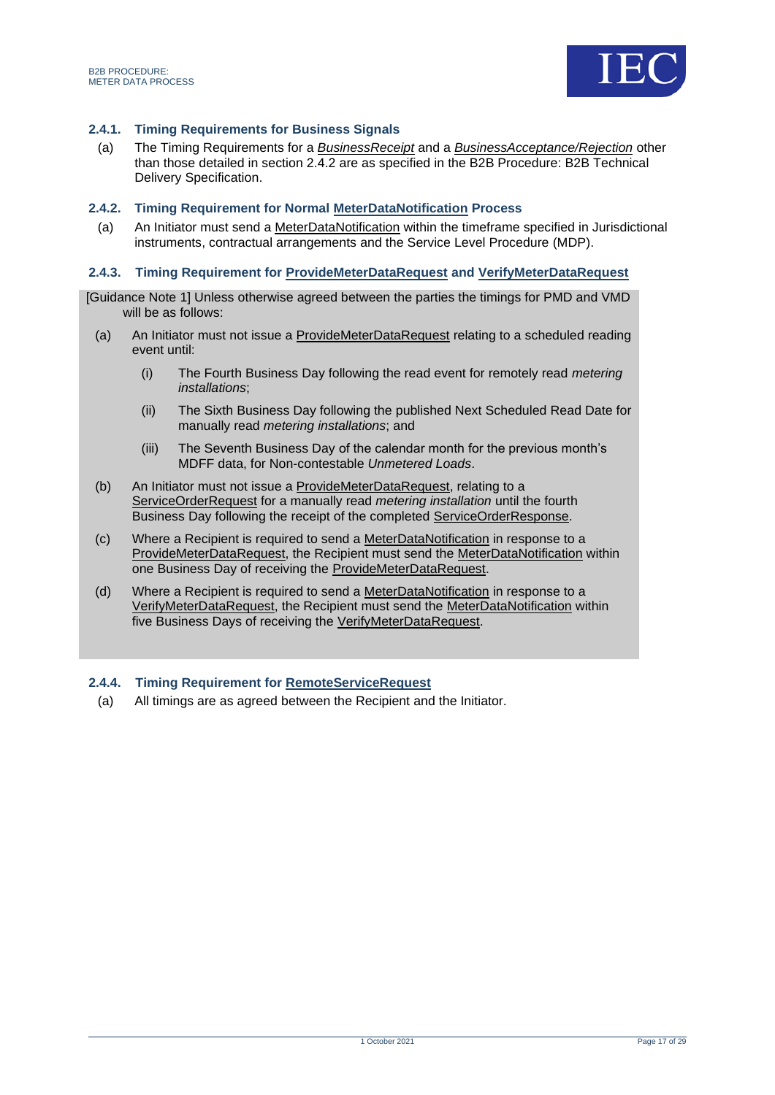

#### **2.4.1. Timing Requirements for Business Signals**

(a) The Timing Requirements for a *BusinessReceipt* and a *BusinessAcceptance/Rejection* other than those detailed in section [2.4.2](#page-16-0) are as specified in the B2B Procedure: B2B Technical Delivery Specification.

#### <span id="page-16-0"></span>**2.4.2. Timing Requirement for Normal MeterDataNotification Process**

(a) An Initiator must send a MeterDataNotification within the timeframe specified in Jurisdictional instruments, contractual arrangements and the Service Level Procedure (MDP).

#### **2.4.3. Timing Requirement for ProvideMeterDataRequest and VerifyMeterDataRequest**

[Guidance Note 1] Unless otherwise agreed between the parties the timings for PMD and VMD will be as follows:

- (a) An Initiator must not issue a ProvideMeterDataRequest relating to a scheduled reading event until:
	- (i) The Fourth Business Day following the read event for remotely read *metering installations*;
	- (ii) The Sixth Business Day following the published Next Scheduled Read Date for manually read *metering installations*; and
	- (iii) The Seventh Business Day of the calendar month for the previous month's MDFF data, for Non-contestable *Unmetered Loads*.
- (b) An Initiator must not issue a ProvideMeterDataRequest, relating to a ServiceOrderRequest for a manually read *metering installation* until the fourth Business Day following the receipt of the completed ServiceOrderResponse.
- (c) Where a Recipient is required to send a MeterDataNotification in response to a ProvideMeterDataRequest, the Recipient must send the MeterDataNotification within one Business Day of receiving the ProvideMeterDataRequest.
- (d) Where a Recipient is required to send a MeterDataNotification in response to a VerifyMeterDataRequest, the Recipient must send the MeterDataNotification within five Business Days of receiving the VerifyMeterDataRequest.

#### **2.4.4. Timing Requirement for RemoteServiceRequest**

(a) All timings are as agreed between the Recipient and the Initiator.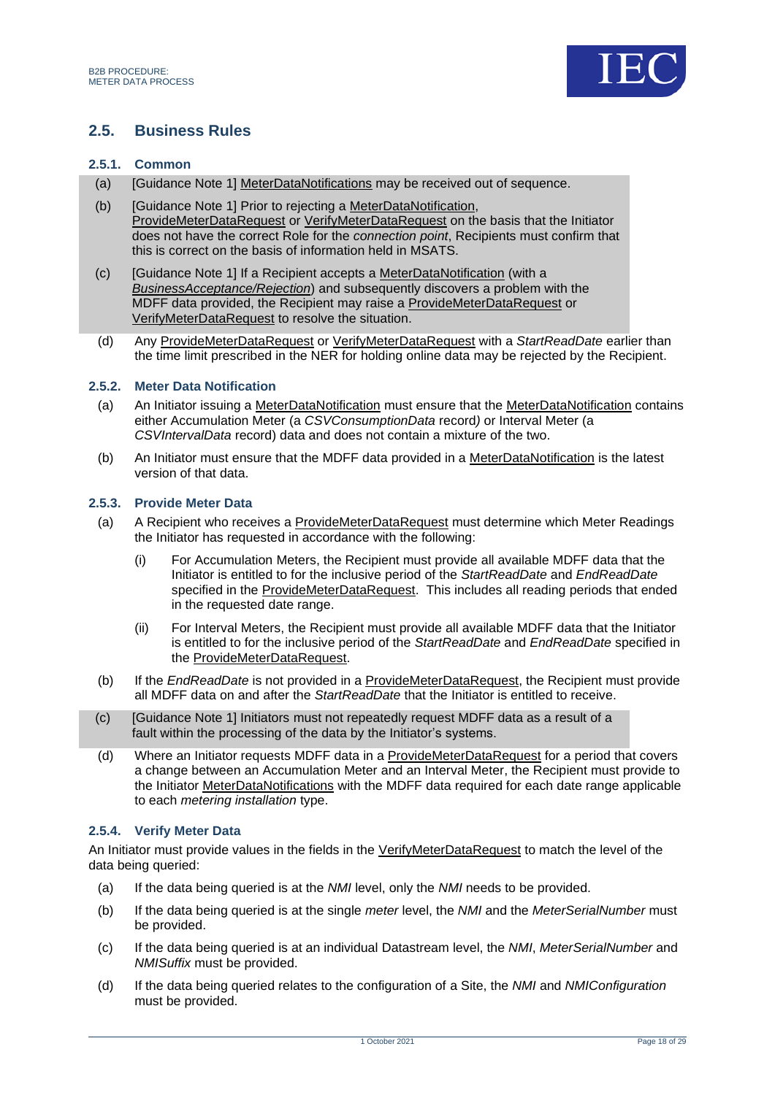

# <span id="page-17-0"></span>**2.5. Business Rules**

#### **2.5.1. Common**

- (a) [Guidance Note 1] MeterDataNotifications may be received out of sequence.
- (b) [Guidance Note 1] Prior to rejecting a MeterDataNotification, ProvideMeterDataRequest or VerifyMeterDataRequest on the basis that the Initiator does not have the correct Role for the *connection point*, Recipients must confirm that this is correct on the basis of information held in MSATS.
- (c) [Guidance Note 1] If a Recipient accepts a MeterDataNotification (with a *BusinessAcceptance/Rejection*) and subsequently discovers a problem with the MDFF data provided, the Recipient may raise a ProvideMeterDataRequest or VerifyMeterDataRequest to resolve the situation.
- (d) Any ProvideMeterDataRequest or VerifyMeterDataRequest with a *StartReadDate* earlier than the time limit prescribed in the NER for holding online data may be rejected by the Recipient.

#### **2.5.2. Meter Data Notification**

- (a) An Initiator issuing a MeterDataNotification must ensure that the MeterDataNotification contains either Accumulation Meter (a *CSVConsumptionData* record*)* or Interval Meter (a *CSVIntervalData* record) data and does not contain a mixture of the two.
- (b) An Initiator must ensure that the MDFF data provided in a MeterDataNotification is the latest version of that data.

#### **2.5.3. Provide Meter Data**

- (a) A Recipient who receives a ProvideMeterDataRequest must determine which Meter Readings the Initiator has requested in accordance with the following:
	- (i) For Accumulation Meters, the Recipient must provide all available MDFF data that the Initiator is entitled to for the inclusive period of the *StartReadDate* and *EndReadDate* specified in the **ProvideMeterDataRequest**. This includes all reading periods that ended in the requested date range.
	- (ii) For Interval Meters, the Recipient must provide all available MDFF data that the Initiator is entitled to for the inclusive period of the *StartReadDate* and *EndReadDate* specified in the ProvideMeterDataRequest.
- (b) If the *EndReadDate* is not provided in a ProvideMeterDataRequest, the Recipient must provide all MDFF data on and after the *StartReadDate* that the Initiator is entitled to receive.
- (c) [Guidance Note 1] Initiators must not repeatedly request MDFF data as a result of a fault within the processing of the data by the Initiator's systems.
- (d) Where an Initiator requests MDFF data in a ProvideMeterDataRequest for a period that covers a change between an Accumulation Meter and an Interval Meter, the Recipient must provide to the Initiator MeterDataNotifications with the MDFF data required for each date range applicable to each *metering installation* type.

#### **2.5.4. Verify Meter Data**

An Initiator must provide values in the fields in the VerifyMeterDataRequest to match the level of the data being queried:

- (a) If the data being queried is at the *NMI* level, only the *NMI* needs to be provided.
- (b) If the data being queried is at the single *meter* level, the *NMI* and the *MeterSerialNumber* must be provided.
- (c) If the data being queried is at an individual Datastream level, the *NMI*, *MeterSerialNumber* and *NMISuffix* must be provided.
- (d) If the data being queried relates to the configuration of a Site, the *NMI* and *NMIConfiguration* must be provided.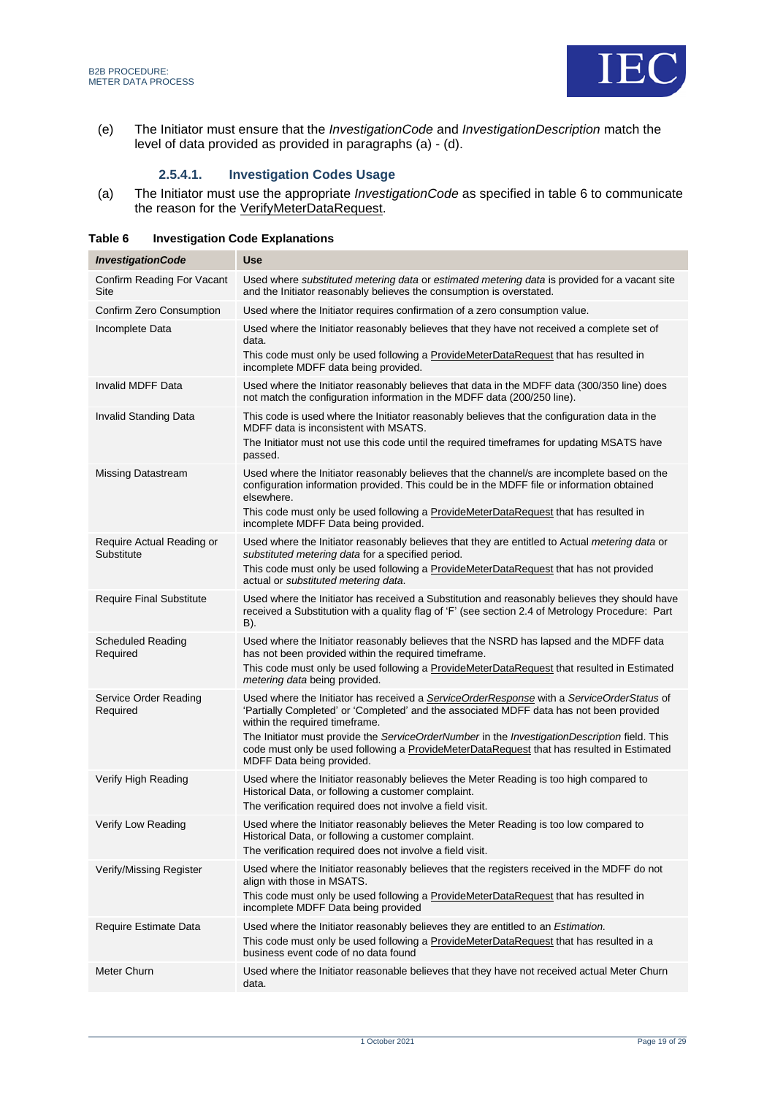

(e) The Initiator must ensure that the *InvestigationCode* and *InvestigationDescription* match the level of data provided as provided in paragraphs (a) - (d).

#### **2.5.4.1. Investigation Codes Usage**

(a) The Initiator must use the appropriate *InvestigationCode* as specified in table 6 to communicate the reason for the VerifyMeterDataRequest.

<span id="page-18-0"></span>

| Table 6 | <b>Investigation Code Explanations</b> |
|---------|----------------------------------------|
|         |                                        |

| <b>InvestigationCode</b>                | <b>Use</b>                                                                                                                                                                                                                                     |
|-----------------------------------------|------------------------------------------------------------------------------------------------------------------------------------------------------------------------------------------------------------------------------------------------|
| Confirm Reading For Vacant<br>Site      | Used where <i>substituted metering data</i> or <i>estimated metering data</i> is provided for a vacant site<br>and the Initiator reasonably believes the consumption is overstated.                                                            |
| Confirm Zero Consumption                | Used where the Initiator requires confirmation of a zero consumption value.                                                                                                                                                                    |
| Incomplete Data                         | Used where the Initiator reasonably believes that they have not received a complete set of<br>data.                                                                                                                                            |
|                                         | This code must only be used following a <b>ProvideMeterDataRequest</b> that has resulted in<br>incomplete MDFF data being provided.                                                                                                            |
| <b>Invalid MDFF Data</b>                | Used where the Initiator reasonably believes that data in the MDFF data (300/350 line) does<br>not match the configuration information in the MDFF data (200/250 line).                                                                        |
| Invalid Standing Data                   | This code is used where the Initiator reasonably believes that the configuration data in the<br>MDFF data is inconsistent with MSATS.<br>The Initiator must not use this code until the required timeframes for updating MSATS have<br>passed. |
| <b>Missing Datastream</b>               | Used where the Initiator reasonably believes that the channel/s are incomplete based on the<br>configuration information provided. This could be in the MDFF file or information obtained<br>elsewhere.                                        |
|                                         | This code must only be used following a ProvideMeterDataRequest that has resulted in<br>incomplete MDFF Data being provided.                                                                                                                   |
| Require Actual Reading or<br>Substitute | Used where the Initiator reasonably believes that they are entitled to Actual metering data or<br>substituted metering data for a specified period.                                                                                            |
|                                         | This code must only be used following a ProvideMeterDataRequest that has not provided<br>actual or substituted metering data.                                                                                                                  |
| <b>Require Final Substitute</b>         | Used where the Initiator has received a Substitution and reasonably believes they should have<br>received a Substitution with a quality flag of 'F' (see section 2.4 of Metrology Procedure: Part<br>B).                                       |
| <b>Scheduled Reading</b><br>Required    | Used where the Initiator reasonably believes that the NSRD has lapsed and the MDFF data<br>has not been provided within the required timeframe.                                                                                                |
|                                         | This code must only be used following a ProvideMeterDataRequest that resulted in Estimated<br>metering data being provided.                                                                                                                    |
| Service Order Reading<br>Required       | Used where the Initiator has received a ServiceOrderResponse with a ServiceOrderStatus of<br>'Partially Completed' or 'Completed' and the associated MDFF data has not been provided<br>within the required timeframe.                         |
|                                         | The Initiator must provide the ServiceOrderNumber in the InvestigationDescription field. This<br>code must only be used following a ProvideMeterDataRequest that has resulted in Estimated<br>MDFF Data being provided.                        |
| Verify High Reading                     | Used where the Initiator reasonably believes the Meter Reading is too high compared to<br>Historical Data, or following a customer complaint.<br>The verification required does not involve a field visit.                                     |
| Verify Low Reading                      | Used where the Initiator reasonably believes the Meter Reading is too low compared to                                                                                                                                                          |
|                                         | Historical Data, or following a customer complaint.<br>The verification required does not involve a field visit.                                                                                                                               |
| Verify/Missing Register                 | Used where the Initiator reasonably believes that the registers received in the MDFF do not                                                                                                                                                    |
|                                         | align with those in MSATS.<br>This code must only be used following a ProvideMeterDataRequest that has resulted in                                                                                                                             |
|                                         | incomplete MDFF Data being provided                                                                                                                                                                                                            |
| Require Estimate Data                   | Used where the Initiator reasonably believes they are entitled to an <i>Estimation</i> .                                                                                                                                                       |
|                                         | This code must only be used following a ProvideMeterDataRequest that has resulted in a<br>business event code of no data found                                                                                                                 |
| Meter Churn                             | Used where the Initiator reasonable believes that they have not received actual Meter Churn<br>data.                                                                                                                                           |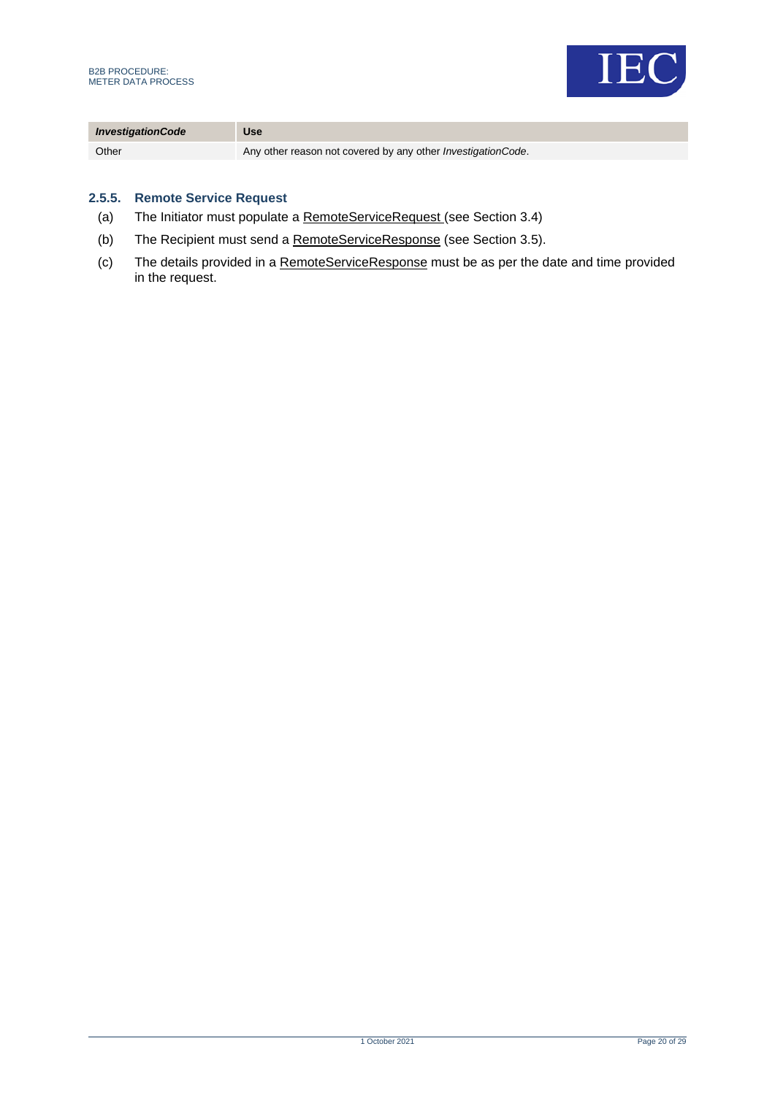

| <i><b>InvestigationCode</b></i> | <b>Use</b>                                                           |
|---------------------------------|----------------------------------------------------------------------|
| Other                           | Any other reason not covered by any other <i>InvestigationCode</i> . |

#### **2.5.5. Remote Service Request**

- (a) The Initiator must populate a RemoteServiceRequest (see Section 3.4)
- (b) The Recipient must send a RemoteServiceResponse (see Section 3.5).
- (c) The details provided in a RemoteServiceResponse must be as per the date and time provided in the request.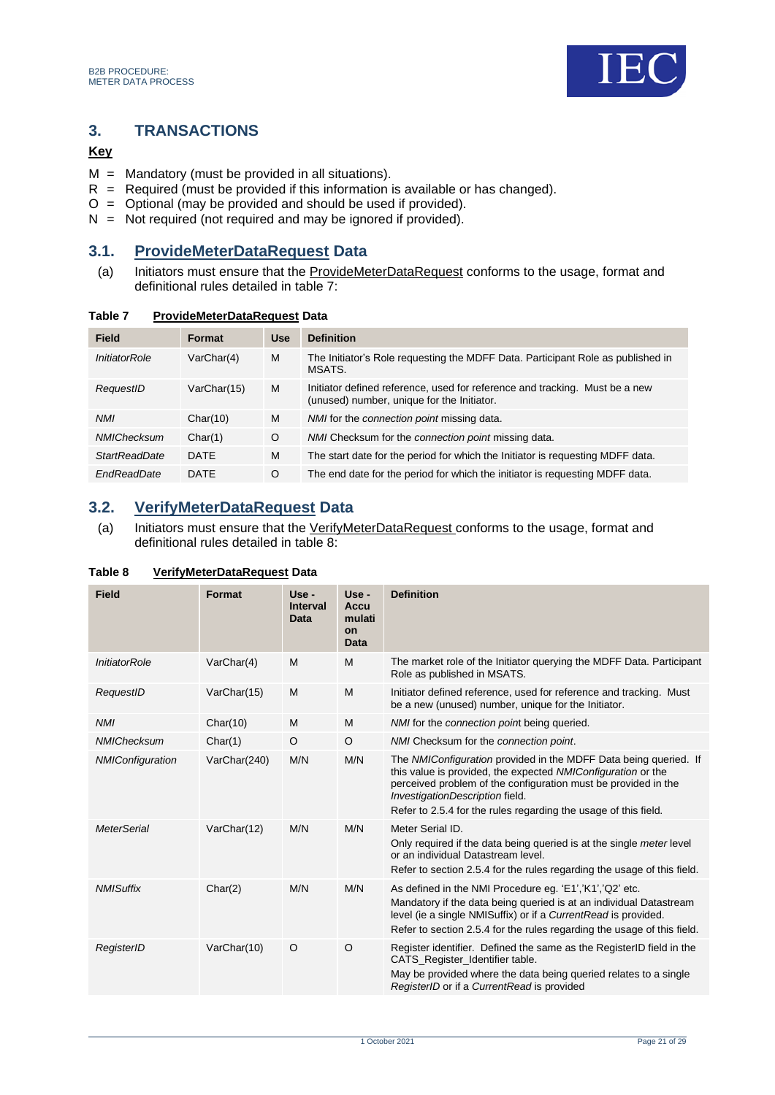

# <span id="page-20-0"></span>**3. TRANSACTIONS**

## **Key**

- $M =$  Mandatory (must be provided in all situations).
- $R$  = Required (must be provided if this information is available or has changed).
- O = Optional (may be provided and should be used if provided).
- $N = Not required (not required and may be ignored if provided).$

## <span id="page-20-1"></span>**3.1. ProvideMeterDataRequest Data**

(a) Initiators must ensure that the ProvideMeterDataRequest conforms to the usage, format and definitional rules detailed in table 7:

#### <span id="page-20-3"></span>**Table 7 ProvideMeterDataRequest Data**

| <b>Field</b>         | Format      | <b>Use</b> | <b>Definition</b>                                                                                                         |
|----------------------|-------------|------------|---------------------------------------------------------------------------------------------------------------------------|
| <b>InitiatorRole</b> | VarChar(4)  | M          | The Initiator's Role requesting the MDFF Data. Participant Role as published in<br>MSATS.                                 |
| RequestID            | VarChar(15) | M          | Initiator defined reference, used for reference and tracking. Must be a new<br>(unused) number, unique for the Initiator. |
| <b>NMI</b>           | Char(10)    | M          | NMI for the connection point missing data.                                                                                |
| <b>NMIChecksum</b>   | Char(1)     | O          | NMI Checksum for the <i>connection point</i> missing data.                                                                |
| <b>StartReadDate</b> | <b>DATE</b> | M          | The start date for the period for which the Initiator is requesting MDFF data.                                            |
| EndReadDate          | <b>DATE</b> | O          | The end date for the period for which the initiator is requesting MDFF data.                                              |

## <span id="page-20-2"></span>**3.2. VerifyMeterDataRequest Data**

(a) Initiators must ensure that the VerifyMeterDataRequest conforms to the usage, format and definitional rules detailed in table 8:

| <b>Field</b>            | Format       | Use -<br><b>Interval</b><br>Data | Use -<br>Accu<br>mulati<br>on<br>Data | <b>Definition</b>                                                                                                                                                                                                                                                                                        |
|-------------------------|--------------|----------------------------------|---------------------------------------|----------------------------------------------------------------------------------------------------------------------------------------------------------------------------------------------------------------------------------------------------------------------------------------------------------|
| <b>InitiatorRole</b>    | VarChar(4)   | M                                | M                                     | The market role of the Initiator querying the MDFF Data. Participant<br>Role as published in MSATS.                                                                                                                                                                                                      |
| RequestID               | VarChar(15)  | M                                | M                                     | Initiator defined reference, used for reference and tracking. Must<br>be a new (unused) number, unique for the Initiator.                                                                                                                                                                                |
| <b>NMI</b>              | Char(10)     | M                                | M                                     | NMI for the connection point being queried.                                                                                                                                                                                                                                                              |
| NMIChecksum             | Char(1)      | $\circ$                          | $\Omega$                              | NMI Checksum for the connection point.                                                                                                                                                                                                                                                                   |
| <b>NMIConfiguration</b> | VarChar(240) | M/N                              | M/N                                   | The NMIConfiguration provided in the MDFF Data being queried. If<br>this value is provided, the expected NMIConfiguration or the<br>perceived problem of the configuration must be provided in the<br>InvestigationDescription field.<br>Refer to 2.5.4 for the rules regarding the usage of this field. |
| <b>MeterSerial</b>      | VarChar(12)  | M/N                              | M/N                                   | Meter Serial ID.<br>Only required if the data being queried is at the single <i>meter</i> level<br>or an individual Datastream level.<br>Refer to section 2.5.4 for the rules regarding the usage of this field.                                                                                         |
| <b>NMISuffix</b>        | Char(2)      | M/N                              | M/N                                   | As defined in the NMI Procedure eg. 'E1','K1','Q2' etc.<br>Mandatory if the data being queried is at an individual Datastream<br>level (ie a single NMISuffix) or if a CurrentRead is provided.<br>Refer to section 2.5.4 for the rules regarding the usage of this field.                               |
| RegisterID              | VarChar(10)  | $\circ$                          | $\circ$                               | Register identifier. Defined the same as the RegisterID field in the<br>CATS_Register_Identifier table.<br>May be provided where the data being queried relates to a single<br>RegisterID or if a CurrentRead is provided                                                                                |

#### <span id="page-20-4"></span>**Table 8 VerifyMeterDataRequest Data**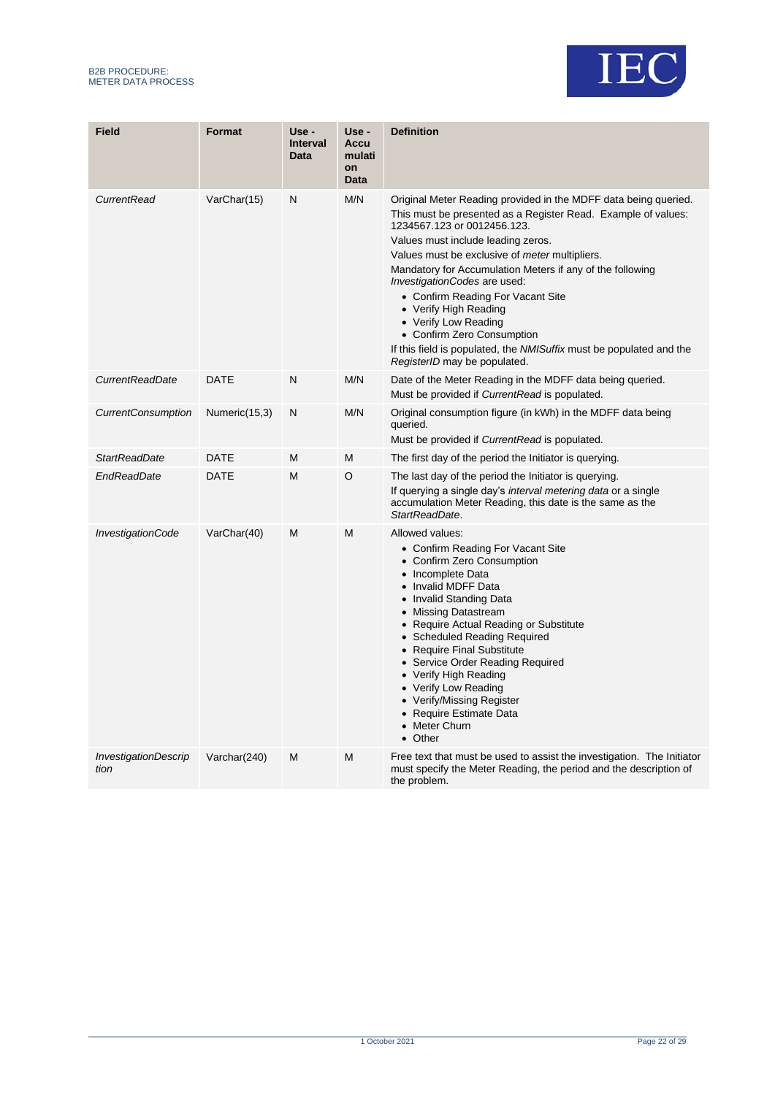

| Field                                      | Format        | Use -<br><b>Interval</b><br>Data | Use -<br>Accu<br>mulati<br>on<br>Data | <b>Definition</b>                                                                                                                                                                                                                                                                                                                                                                                                                                                                                                                                                                      |
|--------------------------------------------|---------------|----------------------------------|---------------------------------------|----------------------------------------------------------------------------------------------------------------------------------------------------------------------------------------------------------------------------------------------------------------------------------------------------------------------------------------------------------------------------------------------------------------------------------------------------------------------------------------------------------------------------------------------------------------------------------------|
| CurrentRead                                | VarChar(15)   | N                                | M/N                                   | Original Meter Reading provided in the MDFF data being queried.<br>This must be presented as a Register Read. Example of values:<br>1234567.123 or 0012456.123.<br>Values must include leading zeros.<br>Values must be exclusive of <i>meter</i> multipliers.<br>Mandatory for Accumulation Meters if any of the following<br>InvestigationCodes are used:<br>• Confirm Reading For Vacant Site<br>• Verify High Reading<br>• Verify Low Reading<br>• Confirm Zero Consumption<br>If this field is populated, the NMISuffix must be populated and the<br>RegisterID may be populated. |
| <b>CurrentReadDate</b>                     | <b>DATE</b>   | N                                | M/N                                   | Date of the Meter Reading in the MDFF data being queried.<br>Must be provided if <i>CurrentRead</i> is populated.                                                                                                                                                                                                                                                                                                                                                                                                                                                                      |
| <b>CurrentConsumption</b>                  | Numeric(15,3) | N                                | M/N                                   | Original consumption figure (in kWh) in the MDFF data being<br>queried.<br>Must be provided if <i>CurrentRead</i> is populated.                                                                                                                                                                                                                                                                                                                                                                                                                                                        |
| <b>StartReadDate</b>                       | DATE          | M                                | М                                     | The first day of the period the Initiator is querying.                                                                                                                                                                                                                                                                                                                                                                                                                                                                                                                                 |
| EndReadDate                                | <b>DATE</b>   | M                                | O                                     | The last day of the period the Initiator is querying.<br>If querying a single day's <i>interval metering data</i> or a single<br>accumulation Meter Reading, this date is the same as the<br>StartReadDate.                                                                                                                                                                                                                                                                                                                                                                            |
| <i><b>InvestigationCode</b></i>            | VarChar(40)   | M                                | М                                     | Allowed values:<br>• Confirm Reading For Vacant Site<br>• Confirm Zero Consumption<br>• Incomplete Data<br>• Invalid MDFF Data<br>• Invalid Standing Data<br>• Missing Datastream<br>• Require Actual Reading or Substitute<br>• Scheduled Reading Required<br>• Require Final Substitute<br>• Service Order Reading Required<br>• Verify High Reading<br>• Verify Low Reading<br>• Verify/Missing Register<br><b>Require Estimate Data</b><br>$\bullet$<br>• Meter Churn<br>• Other                                                                                                   |
| <i><b>InvestigationDescrip</b></i><br>tion | Varchar(240)  | М                                | М                                     | Free text that must be used to assist the investigation. The Initiator<br>must specify the Meter Reading, the period and the description of<br>the problem.                                                                                                                                                                                                                                                                                                                                                                                                                            |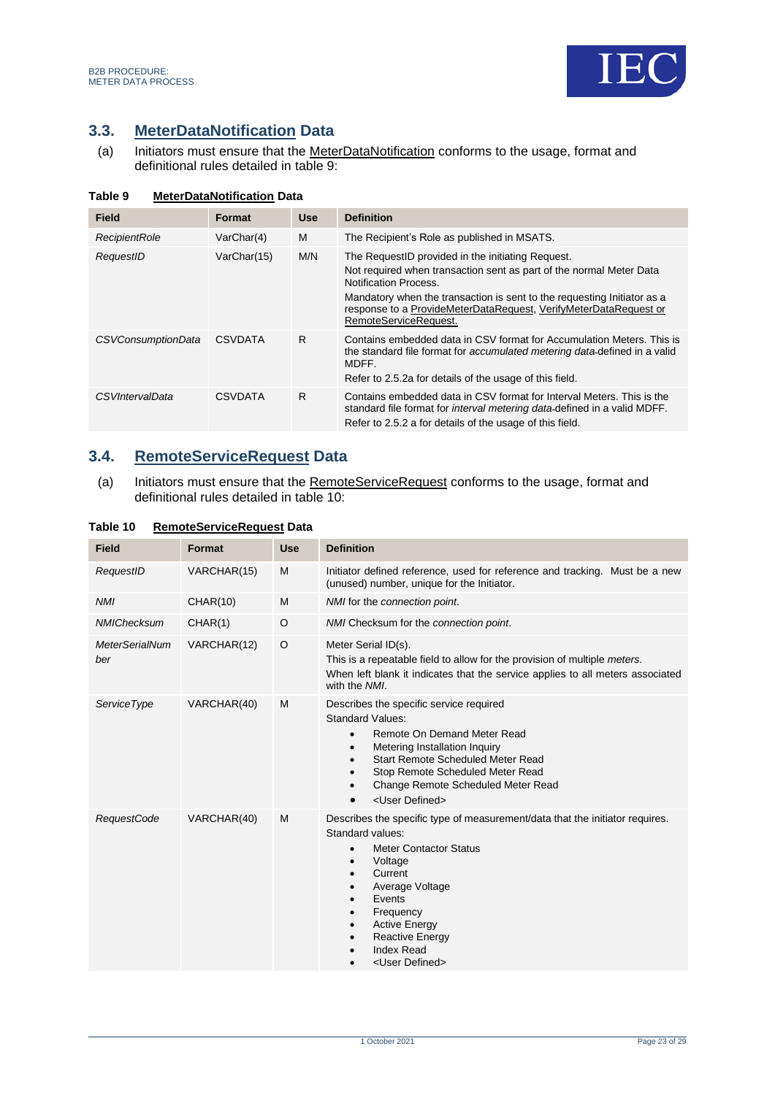

# <span id="page-22-0"></span>**3.3. MeterDataNotification Data**

(a) Initiators must ensure that the MeterDataNotification conforms to the usage, format and definitional rules detailed in table 9:

| <b>Field</b>           | <b>Format</b>  | <b>Use</b> | <b>Definition</b>                                                                                                                                                                                                                                                                                                         |  |  |  |
|------------------------|----------------|------------|---------------------------------------------------------------------------------------------------------------------------------------------------------------------------------------------------------------------------------------------------------------------------------------------------------------------------|--|--|--|
| RecipientRole          | VarChar(4)     | M          | The Recipient's Role as published in MSATS.                                                                                                                                                                                                                                                                               |  |  |  |
| RequestID              | VarChar(15)    | M/N        | The RequestID provided in the initiating Request.<br>Not required when transaction sent as part of the normal Meter Data<br>Notification Process.<br>Mandatory when the transaction is sent to the requesting Initiator as a<br>response to a ProvideMeterDataRequest, VerifyMeterDataRequest or<br>RemoteServiceRequest. |  |  |  |
| CSVConsumptionData     | <b>CSVDATA</b> | R          | Contains embedded data in CSV format for Accumulation Meters. This is<br>the standard file format for <i>accumulated metering data</i> -defined in a valid<br>MDFF.<br>Refer to 2.5.2a for details of the usage of this field.                                                                                            |  |  |  |
| <b>CSVIntervalData</b> | <b>CSVDATA</b> | R          | Contains embedded data in CSV format for Interval Meters. This is the<br>standard file format for <i>interval metering data</i> -defined in a valid MDFF.<br>Refer to 2.5.2 a for details of the usage of this field.                                                                                                     |  |  |  |

#### <span id="page-22-2"></span>**Table 9 MeterDataNotification Data**

# <span id="page-22-1"></span>**3.4. RemoteServiceRequest Data**

(a) Initiators must ensure that the RemoteServiceRequest conforms to the usage, format and definitional rules detailed in table 10:

<span id="page-22-3"></span>**Table 10 RemoteServiceRequest Data**

| <b>Field</b>                 | Format      | <b>Use</b> | <b>Definition</b>                                                                                                                                                                                                                                                                                       |
|------------------------------|-------------|------------|---------------------------------------------------------------------------------------------------------------------------------------------------------------------------------------------------------------------------------------------------------------------------------------------------------|
| RequestID                    | VARCHAR(15) | M          | Initiator defined reference, used for reference and tracking. Must be a new<br>(unused) number, unique for the Initiator.                                                                                                                                                                               |
| <b>NMI</b>                   | CHAR(10)    | M          | NMI for the connection point.                                                                                                                                                                                                                                                                           |
| <b>NMIChecksum</b>           | CHAR(1)     | $\circ$    | NMI Checksum for the connection point.                                                                                                                                                                                                                                                                  |
| <b>MeterSerialNum</b><br>ber | VARCHAR(12) | O          | Meter Serial ID(s).<br>This is a repeatable field to allow for the provision of multiple meters.<br>When left blank it indicates that the service applies to all meters associated<br>with the NMI.                                                                                                     |
| <b>ServiceType</b>           | VARCHAR(40) | M          | Describes the specific service required<br><b>Standard Values:</b><br>Remote On Demand Meter Read<br>$\bullet$<br>Metering Installation Inquiry<br>$\bullet$<br>Start Remote Scheduled Meter Read<br>Stop Remote Scheduled Meter Read<br>Change Remote Scheduled Meter Read<br><user defined=""></user> |
| <b>RequestCode</b>           | VARCHAR(40) | M          | Describes the specific type of measurement/data that the initiator requires.<br>Standard values:<br><b>Meter Contactor Status</b><br>Voltage<br>Current<br>Average Voltage<br>Events<br>Frequency<br><b>Active Energy</b><br><b>Reactive Energy</b><br><b>Index Read</b><br><user defined=""></user>    |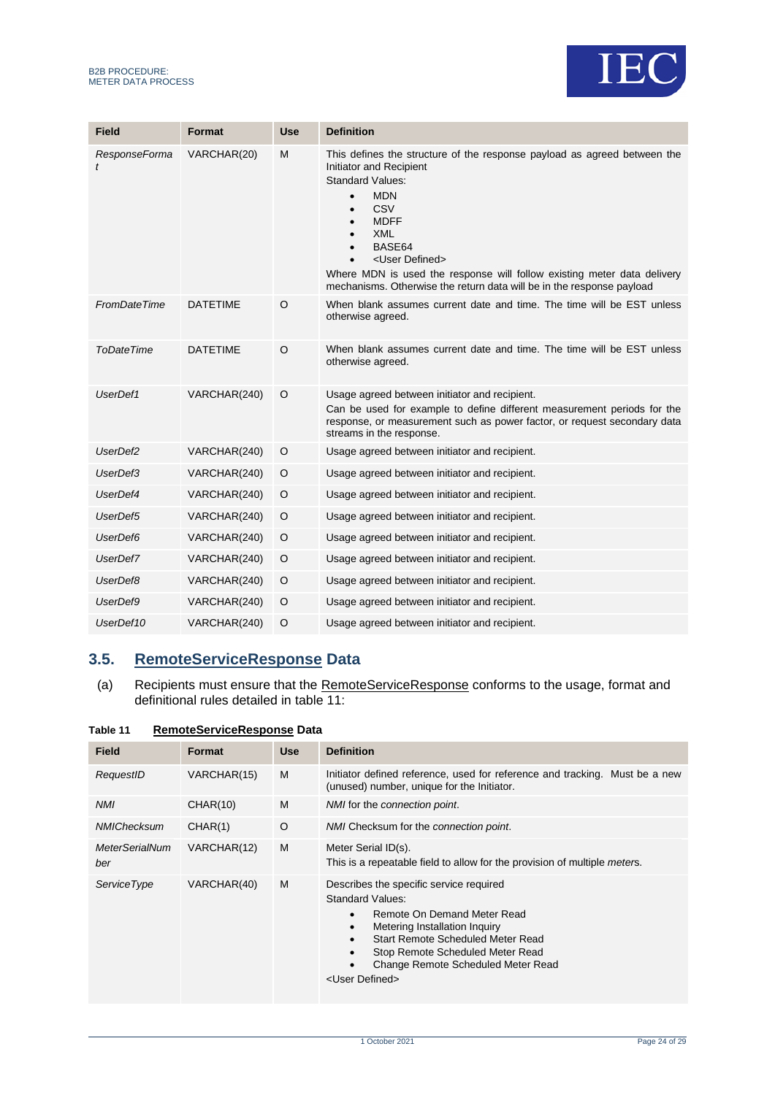

| <b>Field</b>              | Format          | <b>Use</b> | <b>Definition</b>                                                                                                                                                                                                                                                                                                                                                                   |
|---------------------------|-----------------|------------|-------------------------------------------------------------------------------------------------------------------------------------------------------------------------------------------------------------------------------------------------------------------------------------------------------------------------------------------------------------------------------------|
| <b>ResponseForma</b><br>t | VARCHAR(20)     | M          | This defines the structure of the response payload as agreed between the<br>Initiator and Recipient<br><b>Standard Values:</b><br><b>MDN</b><br><b>CSV</b><br><b>MDFF</b><br><b>XML</b><br>BASE64<br><user defined=""><br/>Where MDN is used the response will follow existing meter data delivery<br/>mechanisms. Otherwise the return data will be in the response payload</user> |
| <b>FromDateTime</b>       | <b>DATETIME</b> | $\circ$    | When blank assumes current date and time. The time will be EST unless<br>otherwise agreed.                                                                                                                                                                                                                                                                                          |
| <b>ToDateTime</b>         | <b>DATETIME</b> | $\circ$    | When blank assumes current date and time. The time will be EST unless<br>otherwise agreed.                                                                                                                                                                                                                                                                                          |
| UserDef1                  | VARCHAR(240)    | O          | Usage agreed between initiator and recipient.<br>Can be used for example to define different measurement periods for the<br>response, or measurement such as power factor, or request secondary data<br>streams in the response.                                                                                                                                                    |
| UserDef <sub>2</sub>      | VARCHAR(240)    | O          | Usage agreed between initiator and recipient.                                                                                                                                                                                                                                                                                                                                       |
| UserDef3                  | VARCHAR(240)    | O          | Usage agreed between initiator and recipient.                                                                                                                                                                                                                                                                                                                                       |
| UserDef4                  | VARCHAR(240)    | $\circ$    | Usage agreed between initiator and recipient.                                                                                                                                                                                                                                                                                                                                       |
| UserDef5                  | VARCHAR(240)    | $\circ$    | Usage agreed between initiator and recipient.                                                                                                                                                                                                                                                                                                                                       |
| UserDef6                  | VARCHAR(240)    | $\circ$    | Usage agreed between initiator and recipient.                                                                                                                                                                                                                                                                                                                                       |
| UserDef7                  | VARCHAR(240)    | O          | Usage agreed between initiator and recipient.                                                                                                                                                                                                                                                                                                                                       |
| UserDef8                  | VARCHAR(240)    | O          | Usage agreed between initiator and recipient.                                                                                                                                                                                                                                                                                                                                       |
| UserDef9                  | VARCHAR(240)    | O          | Usage agreed between initiator and recipient.                                                                                                                                                                                                                                                                                                                                       |
| UserDef10                 | VARCHAR(240)    | $\circ$    | Usage agreed between initiator and recipient.                                                                                                                                                                                                                                                                                                                                       |

# <span id="page-23-0"></span>**3.5. RemoteServiceResponse Data**

(a) Recipients must ensure that the RemoteServiceResponse conforms to the usage, format and definitional rules detailed in table 11:

| <b>Field</b>          | Format      | <b>Use</b> | <b>Definition</b>                                                                                                                                                                                                                                                                                                                              |
|-----------------------|-------------|------------|------------------------------------------------------------------------------------------------------------------------------------------------------------------------------------------------------------------------------------------------------------------------------------------------------------------------------------------------|
| RequestID             | VARCHAR(15) | M          | Initiator defined reference, used for reference and tracking. Must be a new<br>(unused) number, unique for the Initiator.                                                                                                                                                                                                                      |
| <b>NMI</b>            | CHAR(10)    | M          | NMI for the connection point.                                                                                                                                                                                                                                                                                                                  |
| <b>NMIChecksum</b>    | CHAR(1)     | O          | NMI Checksum for the connection point.                                                                                                                                                                                                                                                                                                         |
| MeterSerialNum<br>ber | VARCHAR(12) | M          | Meter Serial ID(s).<br>This is a repeatable field to allow for the provision of multiple <i>meters</i> .                                                                                                                                                                                                                                       |
| ServiceType           | VARCHAR(40) | M          | Describes the specific service required<br><b>Standard Values:</b><br>Remote On Demand Meter Read<br>$\bullet$<br>Metering Installation Inquiry<br>$\bullet$<br>Start Remote Scheduled Meter Read<br>$\bullet$<br>Stop Remote Scheduled Meter Read<br>$\bullet$<br>Change Remote Scheduled Meter Read<br>$\bullet$<br><user defined=""></user> |

<span id="page-23-1"></span>

| <b>RemoteServiceResponse Data</b><br>Table 11 |  |
|-----------------------------------------------|--|
|-----------------------------------------------|--|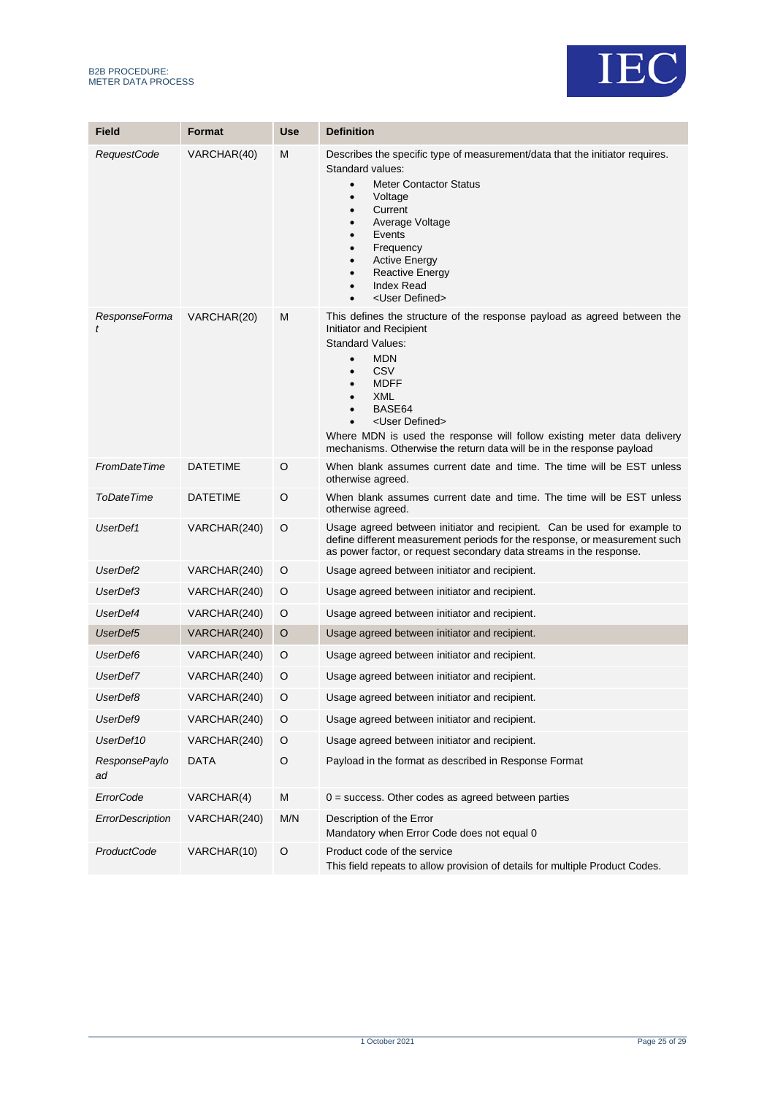

| <b>Field</b>              | Format          | <b>Use</b> | <b>Definition</b>                                                                                                                                                                                                                                                                                                                                                                         |
|---------------------------|-----------------|------------|-------------------------------------------------------------------------------------------------------------------------------------------------------------------------------------------------------------------------------------------------------------------------------------------------------------------------------------------------------------------------------------------|
| RequestCode               | VARCHAR(40)     | М          | Describes the specific type of measurement/data that the initiator requires.<br>Standard values:<br><b>Meter Contactor Status</b><br>$\bullet$<br>Voltage<br>Current<br>Average Voltage<br>Events<br>Frequency<br><b>Active Energy</b><br>Reactive Energy<br><b>Index Read</b><br><user defined=""></user>                                                                                |
| <b>ResponseForma</b><br>t | VARCHAR(20)     | M          | This defines the structure of the response payload as agreed between the<br>Initiator and Recipient<br><b>Standard Values:</b><br><b>MDN</b><br>$\bullet$<br>CSV<br><b>MDFF</b><br><b>XML</b><br>BASE64<br><user defined=""><br/>Where MDN is used the response will follow existing meter data delivery<br/>mechanisms. Otherwise the return data will be in the response payload</user> |
| <b>FromDateTime</b>       | <b>DATETIME</b> | O          | When blank assumes current date and time. The time will be EST unless<br>otherwise agreed.                                                                                                                                                                                                                                                                                                |
| ToDateTime                | <b>DATETIME</b> | O          | When blank assumes current date and time. The time will be EST unless<br>otherwise agreed.                                                                                                                                                                                                                                                                                                |
| UserDef1                  | VARCHAR(240)    | O          | Usage agreed between initiator and recipient. Can be used for example to<br>define different measurement periods for the response, or measurement such<br>as power factor, or request secondary data streams in the response.                                                                                                                                                             |
| UserDef2                  | VARCHAR(240)    | O          | Usage agreed between initiator and recipient.                                                                                                                                                                                                                                                                                                                                             |
| UserDef3                  | VARCHAR(240)    | O          | Usage agreed between initiator and recipient.                                                                                                                                                                                                                                                                                                                                             |
| UserDef4                  | VARCHAR(240)    | O          | Usage agreed between initiator and recipient.                                                                                                                                                                                                                                                                                                                                             |
| UserDef5                  | VARCHAR(240)    | O          | Usage agreed between initiator and recipient.                                                                                                                                                                                                                                                                                                                                             |
| UserDef6                  | VARCHAR(240)    | O          | Usage agreed between initiator and recipient.                                                                                                                                                                                                                                                                                                                                             |
| UserDef7                  | VARCHAR(240)    | O          | Usage agreed between initiator and recipient.                                                                                                                                                                                                                                                                                                                                             |
| UserDef8                  | VARCHAR(240)    | O          | Usage agreed between initiator and recipient.                                                                                                                                                                                                                                                                                                                                             |
| UserDef9                  | VARCHAR(240)    | O          | Usage agreed between initiator and recipient.                                                                                                                                                                                                                                                                                                                                             |
| UserDef10                 | VARCHAR(240)    | $\circ$    | Usage agreed between initiator and recipient.                                                                                                                                                                                                                                                                                                                                             |
| ResponsePaylo<br>ad       | DATA            | O          | Payload in the format as described in Response Format                                                                                                                                                                                                                                                                                                                                     |
| ErrorCode                 | VARCHAR(4)      | M          | $0 =$ success. Other codes as agreed between parties                                                                                                                                                                                                                                                                                                                                      |
| ErrorDescription          | VARCHAR(240)    | M/N        | Description of the Error<br>Mandatory when Error Code does not equal 0                                                                                                                                                                                                                                                                                                                    |
| ProductCode               | VARCHAR(10)     | $\hbox{O}$ | Product code of the service<br>This field repeats to allow provision of details for multiple Product Codes.                                                                                                                                                                                                                                                                               |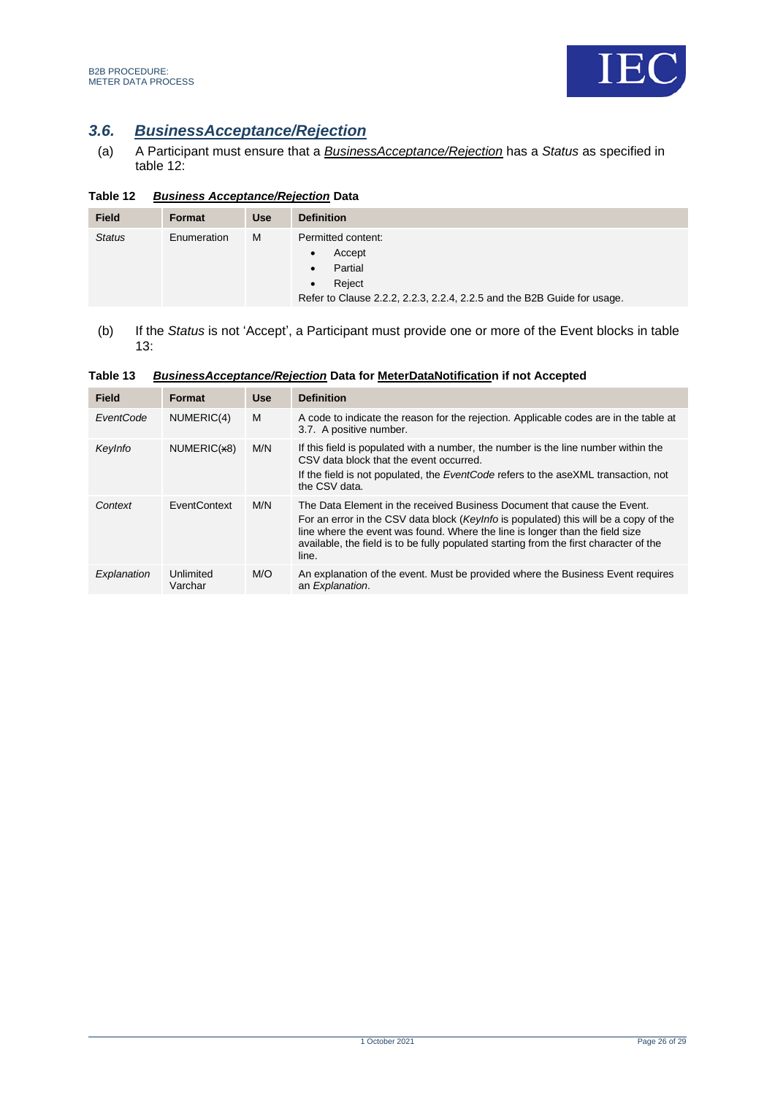

# <span id="page-25-0"></span>*3.6. BusinessAcceptance/Rejection*

(a) A Participant must ensure that a *BusinessAcceptance/Rejection* has a *Status* as specified in table 12:

| <b>Field</b>  | Format      | <b>Use</b> | <b>Definition</b>                                                                                                                                           |
|---------------|-------------|------------|-------------------------------------------------------------------------------------------------------------------------------------------------------------|
| <b>Status</b> | Enumeration | M          | Permitted content:<br>Accept<br>٠<br>Partial<br>$\bullet$<br>Reject<br>$\bullet$<br>Refer to Clause 2.2.2, 2.2.3, 2.2.4, 2.2.5 and the B2B Guide for usage. |

#### <span id="page-25-1"></span>**Table 12** *Business Acceptance/Rejection* **Data**

(b) If the *Status* is not 'Accept', a Participant must provide one or more of the Event blocks in table 13:

| Field       | Format               | <b>Use</b> | <b>Definition</b>                                                                                                                                                                                                                                                                                                                                           |
|-------------|----------------------|------------|-------------------------------------------------------------------------------------------------------------------------------------------------------------------------------------------------------------------------------------------------------------------------------------------------------------------------------------------------------------|
| EventCode   | NUMERIC(4)           | M          | A code to indicate the reason for the rejection. Applicable codes are in the table at<br>3.7. A positive number.                                                                                                                                                                                                                                            |
| Keylnfo     | NUMERIC(x8)          | M/N        | If this field is populated with a number, the number is the line number within the<br>CSV data block that the event occurred.<br>If the field is not populated, the EventCode refers to the aseXML transaction, not<br>the CSV data.                                                                                                                        |
| Context     | EventContext         | M/N        | The Data Element in the received Business Document that cause the Event.<br>For an error in the CSV data block ( <i>Keylnfo</i> is populated) this will be a copy of the<br>line where the event was found. Where the line is longer than the field size<br>available, the field is to be fully populated starting from the first character of the<br>line. |
| Explanation | Unlimited<br>Varchar | M/O        | An explanation of the event. Must be provided where the Business Event requires<br>an Explanation.                                                                                                                                                                                                                                                          |

#### <span id="page-25-2"></span>**Table 13** *BusinessAcceptance/Rejection* **Data for MeterDataNotification if not Accepted**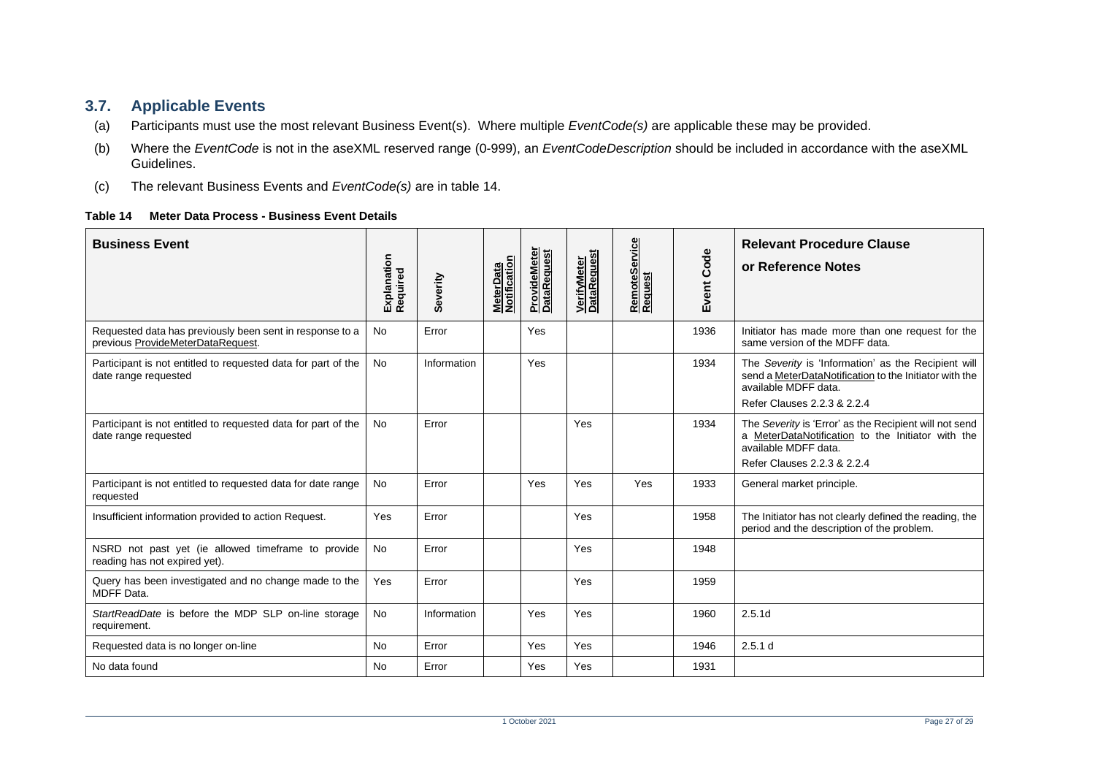## **3.7. Applicable Events**

- (a) Participants must use the most relevant Business Event(s). Where multiple *EventCode(s)* are applicable these may be provided.
- (b) Where the *EventCode* is not in the aseXML reserved range (0-999), an *EventCodeDescription* should be included in accordance with the aseXML Guidelines.
- (c) The relevant Business Events and *EventCode(s)* are in table 14.

#### **Table 14 Meter Data Process - Business Event Details**

<span id="page-26-1"></span><span id="page-26-0"></span>

| <b>Business Event</b>                                                                         | Explanation<br>Required | Severity    | <b>MeterData</b><br>Notification | <b>ProvideMeter</b><br>DataRequest | VerifyMeter<br>DataRequest | ervice<br>RemoteSe<br>Request | Event Code | <b>Relevant Procedure Clause</b><br>or Reference Notes                                                                                                               |
|-----------------------------------------------------------------------------------------------|-------------------------|-------------|----------------------------------|------------------------------------|----------------------------|-------------------------------|------------|----------------------------------------------------------------------------------------------------------------------------------------------------------------------|
| Requested data has previously been sent in response to a<br>previous ProvideMeterDataRequest. | <b>No</b>               | Error       |                                  | Yes                                |                            |                               | 1936       | Initiator has made more than one request for the<br>same version of the MDFF data.                                                                                   |
| Participant is not entitled to requested data for part of the<br>date range requested         | <b>No</b>               | Information |                                  | Yes                                |                            |                               | 1934       | The Severity is 'Information' as the Recipient will<br>send a MeterDataNotification to the Initiator with the<br>available MDFF data.<br>Refer Clauses 2.2.3 & 2.2.4 |
| Participant is not entitled to requested data for part of the<br>date range requested         | <b>No</b>               | Error       |                                  |                                    | Yes                        |                               | 1934       | The Severity is 'Error' as the Recipient will not send<br>a MeterDataNotification to the Initiator with the<br>available MDFF data.<br>Refer Clauses 2.2.3 & 2.2.4   |
| Participant is not entitled to requested data for date range<br>requested                     | <b>No</b>               | Error       |                                  | Yes                                | Yes                        | Yes                           | 1933       | General market principle.                                                                                                                                            |
| Insufficient information provided to action Request.                                          | Yes                     | Error       |                                  |                                    | Yes                        |                               | 1958       | The Initiator has not clearly defined the reading, the<br>period and the description of the problem.                                                                 |
| NSRD not past yet (ie allowed timeframe to provide<br>reading has not expired yet).           | <b>No</b>               | Error       |                                  |                                    | Yes                        |                               | 1948       |                                                                                                                                                                      |
| Query has been investigated and no change made to the<br><b>MDFF</b> Data.                    | Yes                     | Error       |                                  |                                    | Yes                        |                               | 1959       |                                                                                                                                                                      |
| StartReadDate is before the MDP SLP on-line storage<br>requirement.                           | <b>No</b>               | Information |                                  | Yes                                | Yes                        |                               | 1960       | 2.5.1d                                                                                                                                                               |
| Requested data is no longer on-line                                                           | <b>No</b>               | Error       |                                  | Yes                                | Yes                        |                               | 1946       | 2.5.1 <sub>d</sub>                                                                                                                                                   |
| No data found                                                                                 | <b>No</b>               | Error       |                                  | Yes                                | Yes                        |                               | 1931       |                                                                                                                                                                      |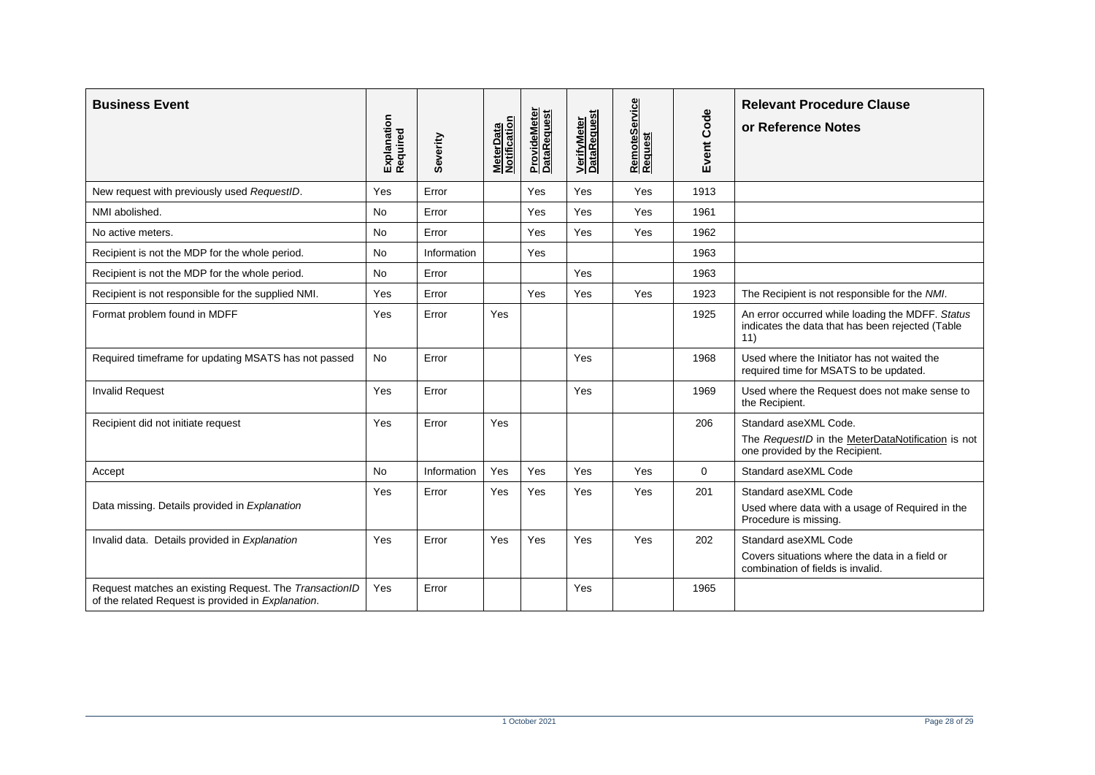| <b>Business Event</b>                                                                                        | Explanation<br>Required | Severity    | <b>MeterData</b><br>Notification | ProvideMeter<br>DataRequest | VerifyMeter<br>DataRequest | RemoteService<br>Request | Event Code  | <b>Relevant Procedure Clause</b><br>or Reference Notes                                                       |
|--------------------------------------------------------------------------------------------------------------|-------------------------|-------------|----------------------------------|-----------------------------|----------------------------|--------------------------|-------------|--------------------------------------------------------------------------------------------------------------|
| New request with previously used RequestID.                                                                  | Yes                     | Error       |                                  | Yes                         | Yes                        | Yes                      | 1913        |                                                                                                              |
| NMI abolished.                                                                                               | <b>No</b>               | Error       |                                  | Yes                         | Yes                        | Yes                      | 1961        |                                                                                                              |
| No active meters.                                                                                            | <b>No</b>               | Error       |                                  | Yes                         | Yes                        | Yes                      | 1962        |                                                                                                              |
| Recipient is not the MDP for the whole period.                                                               | <b>No</b>               | Information |                                  | Yes                         |                            |                          | 1963        |                                                                                                              |
| Recipient is not the MDP for the whole period.                                                               | <b>No</b>               | Error       |                                  |                             | Yes                        |                          | 1963        |                                                                                                              |
| Recipient is not responsible for the supplied NMI.                                                           | Yes                     | Error       |                                  | Yes                         | Yes                        | Yes                      | 1923        | The Recipient is not responsible for the NMI.                                                                |
| Format problem found in MDFF                                                                                 | Yes                     | Error       | Yes                              |                             |                            |                          | 1925        | An error occurred while loading the MDFF. Status<br>indicates the data that has been rejected (Table<br>11)  |
| Required timeframe for updating MSATS has not passed                                                         | <b>No</b>               | Error       |                                  |                             | Yes                        |                          | 1968        | Used where the Initiator has not waited the<br>required time for MSATS to be updated.                        |
| <b>Invalid Request</b>                                                                                       | Yes                     | Error       |                                  |                             | Yes                        |                          | 1969        | Used where the Request does not make sense to<br>the Recipient.                                              |
| Recipient did not initiate request                                                                           | Yes                     | Error       | Yes                              |                             |                            |                          | 206         | Standard aseXML Code.<br>The RequestID in the MeterDataNotification is not<br>one provided by the Recipient. |
| Accept                                                                                                       | <b>No</b>               | Information | Yes                              | Yes                         | Yes                        | Yes                      | $\mathbf 0$ | Standard aseXML Code                                                                                         |
| Data missing. Details provided in Explanation                                                                | Yes                     | Error       | Yes                              | Yes                         | <b>Yes</b>                 | Yes                      | 201         | Standard aseXML Code<br>Used where data with a usage of Required in the<br>Procedure is missing.             |
| Invalid data. Details provided in Explanation                                                                | Yes                     | Error       | Yes                              | Yes                         | Yes                        | Yes                      | 202         | Standard aseXML Code<br>Covers situations where the data in a field or<br>combination of fields is invalid.  |
| Request matches an existing Request. The TransactionID<br>of the related Request is provided in Explanation. | Yes                     | Error       |                                  |                             | Yes                        |                          | 1965        |                                                                                                              |